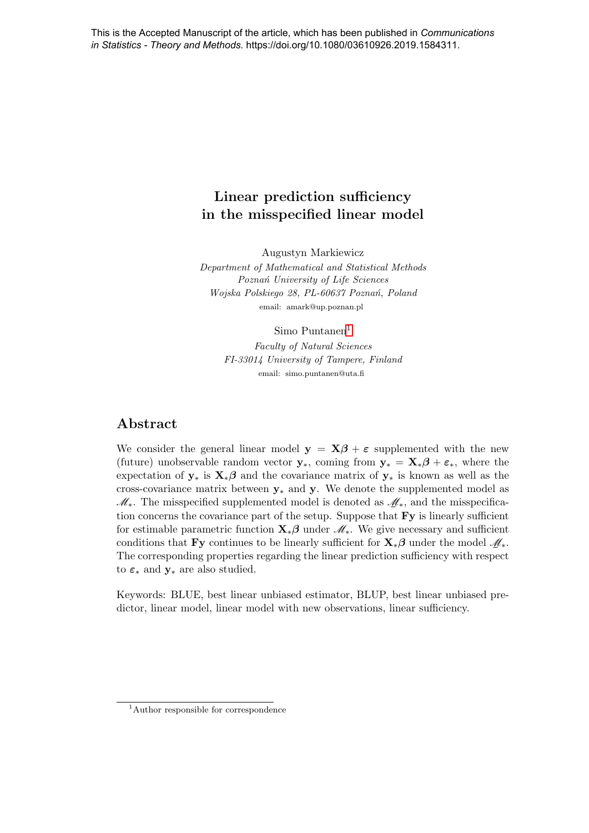# Linear prediction sufficiency in the misspecified linear model

Augustyn Markiewicz

Department of Mathematical and Statistical Methods Poznań University of Life Sciences Wojska Polskiego 28, PL-60637 Poznań, Poland email: amark@up.poznan.pl

 $Simo$  Puntanen<sup>[1](#page-0-0)</sup>

Faculty of Natural Sciences FI-33014 University of Tampere, Finland email: simo.puntanen@uta.fi

### Abstract

We consider the general linear model  $y = X\beta + \epsilon$  supplemented with the new (future) unobservable random vector  $y_*$ , coming from  $y_* = X_*\beta + \varepsilon_*$ , where the expectation of  $y_*$  is  $X_*\beta$  and the covariance matrix of  $y_*$  is known as well as the cross-covariance matrix between  $y_*$  and y. We denote the supplemented model as  $\mathscr{M}_{*}$ . The misspecified supplemented model is denoted as  $\mathscr{M}_{*}$ , and the misspecification concerns the covariance part of the setup. Suppose that  $\mathbf{F}$ y is linearly sufficient for estimable parametric function  $\mathbf{X}_*\boldsymbol{\beta}$  under  $\mathcal{M}_*$ . We give necessary and sufficient conditions that Fy continues to be linearly sufficient for  $\mathbf{X}_{*}\boldsymbol{\beta}$  under the model  $\mathcal{M}_{*}$ . The corresponding properties regarding the linear prediction sufficiency with respect The corresponding properties regarding the linear prediction sufficiency with respect to  $\varepsilon_*$  and  $\mathbf{y}_*$  are also studied.

Keywords: BLUE, best linear unbiased estimator, BLUP, best linear unbiased predictor, linear model, linear model with new observations, linear sufficiency.

<span id="page-0-0"></span><sup>&</sup>lt;sup>1</sup>Author responsible for correspondence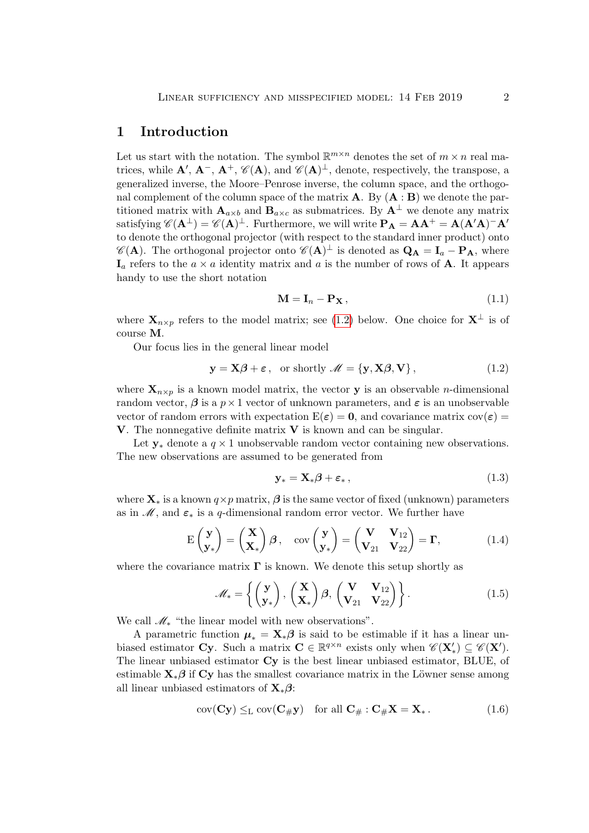### 1 Introduction

Let us start with the notation. The symbol  $\mathbb{R}^{m \times n}$  denotes the set of  $m \times n$  real matrices, while  $\mathbf{A}', \mathbf{A}^-$ ,  $\mathbf{A}^+$ ,  $\mathscr{C}(\mathbf{A})$ , and  $\mathscr{C}(\mathbf{A})^{\perp}$ , denote, respectively, the transpose, a generalized inverse, the Moore–Penrose inverse, the column space, and the orthogonal complement of the column space of the matrix  $\bf{A}$ . By  $(\bf{A} : \bf{B})$  we denote the partitioned matrix with  $\mathbf{A}_{a\times b}$  and  $\mathbf{B}_{a\times c}$  as submatrices. By  $\mathbf{A}^{\perp}$  we denote any matrix satisfying  $\mathscr{C}(\mathbf{A}^{\perp}) = \mathscr{C}(\mathbf{A})^{\perp}$ . Furthermore, we will write  $\mathbf{P}_{\mathbf{A}} = \mathbf{A}\mathbf{A}^+ = \mathbf{A}(\mathbf{A}'\mathbf{A})^-\mathbf{A}'$ to denote the orthogonal projector (with respect to the standard inner product) onto  $\mathscr{C}(\mathbf{A})$ . The orthogonal projector onto  $\mathscr{C}(\mathbf{A})^{\perp}$  is denoted as  $\mathbf{Q}_{\mathbf{A}} = \mathbf{I}_a - \mathbf{P}_{\mathbf{A}}$ , where  $I_a$  refers to the  $a \times a$  identity matrix and a is the number of rows of **A**. It appears handy to use the short notation

$$
\mathbf{M} = \mathbf{I}_n - \mathbf{P}_\mathbf{X},\tag{1.1}
$$

where  $\mathbf{X}_{n\times p}$  refers to the model matrix; see [\(1.2\)](#page-1-0) below. One choice for  $\mathbf{X}^{\perp}$  is of course M.

Our focus lies in the general linear model

<span id="page-1-0"></span>
$$
\mathbf{y} = \mathbf{X}\boldsymbol{\beta} + \boldsymbol{\varepsilon}, \text{ or shortly } \mathscr{M} = \{\mathbf{y}, \mathbf{X}\boldsymbol{\beta}, \mathbf{V}\},
$$
(1.2)

where  $X_{n\times p}$  is a known model matrix, the vector **y** is an observable *n*-dimensional random vector,  $\beta$  is a  $p \times 1$  vector of unknown parameters, and  $\varepsilon$  is an unobservable vector of random errors with expectation  $E(\varepsilon) = 0$ , and covariance matrix  $cov(\varepsilon) =$ **V**. The nonnegative definite matrix **V** is known and can be singular.

Let  $y_*$  denote a  $q \times 1$  unobservable random vector containing new observations. The new observations are assumed to be generated from

$$
\mathbf{y}_{*} = \mathbf{X}_{*} \boldsymbol{\beta} + \boldsymbol{\varepsilon}_{*} \,, \tag{1.3}
$$

where  $\mathbf{X}_*$  is a known  $q \times p$  matrix,  $\boldsymbol{\beta}$  is the same vector of fixed (unknown) parameters as in  $\mathcal{M}$ , and  $\varepsilon_*$  is a q-dimensional random error vector. We further have

$$
E\begin{pmatrix} \mathbf{y} \\ \mathbf{y}_* \end{pmatrix} = \begin{pmatrix} \mathbf{X} \\ \mathbf{X}_* \end{pmatrix} \boldsymbol{\beta}, \quad \text{cov} \begin{pmatrix} \mathbf{y} \\ \mathbf{y}_* \end{pmatrix} = \begin{pmatrix} \mathbf{V} & \mathbf{V}_{12} \\ \mathbf{V}_{21} & \mathbf{V}_{22} \end{pmatrix} = \boldsymbol{\Gamma}, \tag{1.4}
$$

where the covariance matrix  $\Gamma$  is known. We denote this setup shortly as

<span id="page-1-1"></span>
$$
\mathscr{M}_* = \left\{ \begin{pmatrix} \mathbf{y} \\ \mathbf{y}_* \end{pmatrix}, \begin{pmatrix} \mathbf{X} \\ \mathbf{X}_* \end{pmatrix} \boldsymbol{\beta}, \begin{pmatrix} \mathbf{V} & \mathbf{V}_{12} \\ \mathbf{V}_{21} & \mathbf{V}_{22} \end{pmatrix} \right\}.
$$
 (1.5)

We call  $\mathcal{M}_*$  "the linear model with new observations".

A parametric function  $\mu_* = \mathbf{X}_* \boldsymbol{\beta}$  is said to be estimable if it has a linear unbiased estimator **Cy**. Such a matrix  $\mathbf{C} \in \mathbb{R}^{q \times n}$  exists only when  $\mathscr{C}(\mathbf{X}') \subseteq \mathscr{C}(\mathbf{X}')$ . The linear unbiased estimator Cy is the best linear unbiased estimator, BLUE, of estimable  $X_*\beta$  if Cy has the smallest covariance matrix in the Löwner sense among all linear unbiased estimators of  $\mathbf{X}_*\boldsymbol{\beta}$ :

$$
cov(Cy) \leq_{\mathcal{L}} cov(C_{\#}y) \quad \text{for all } C_{\#}: C_{\#}X = X_*.
$$
 (1.6)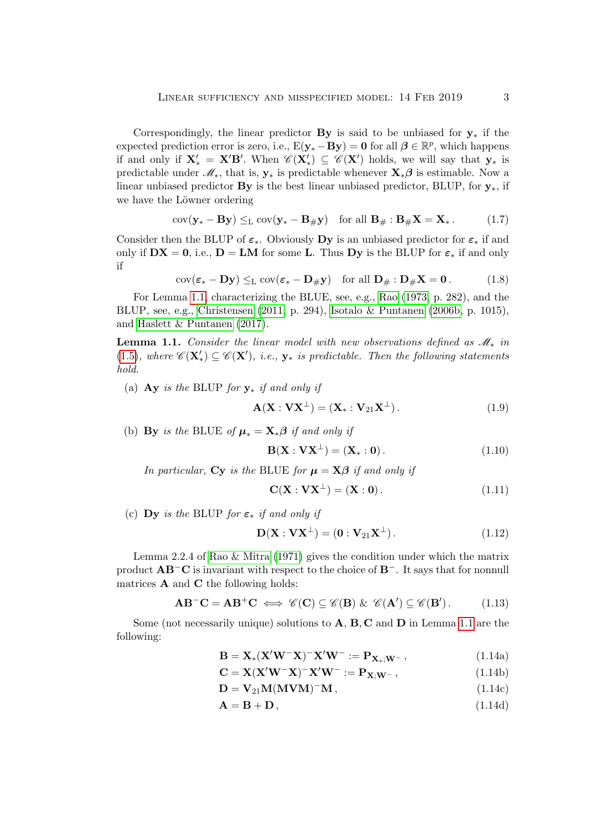Correspondingly, the linear predictor **By** is said to be unbiased for  $y_*$  if the expected prediction error is zero, i.e.,  $E(y_* - By) = 0$  for all  $\beta \in \mathbb{R}^p$ , which happens if and only if  $X'_{*} = X'B'$ . When  $\mathscr{C}(X') \subseteq \mathscr{C}(X')$  holds, we will say that  $y_{*}$  is predictable under  $\mathscr{M}_*$ , that is,  $\mathbf{y}_*$  is predictable whenever  $\mathbf{X}_*\boldsymbol{\beta}$  is estimable. Now a linear unbiased predictor **By** is the best linear unbiased predictor, BLUP, for  $y_*$ , if we have the Löwner ordering

$$
cov(\mathbf{y}_{*} - \mathbf{B}\mathbf{y}) \leq_{\mathcal{L}} cov(\mathbf{y}_{*} - \mathbf{B}_{\#}\mathbf{y}) \quad \text{for all } \mathbf{B}_{\#} : \mathbf{B}_{\#}\mathbf{X} = \mathbf{X}_{*}.
$$
 (1.7)

Consider then the BLUP of  $\varepsilon_*$ . Obviously Dy is an unbiased predictor for  $\varepsilon_*$  if and only if  $DX = 0$ , i.e.,  $D = LM$  for some L. Thus Dy is the BLUP for  $\varepsilon_*$  if and only if

$$
cov(\varepsilon_* - \mathbf{D}\mathbf{y}) \leq_{\mathcal{L}} cov(\varepsilon_* - \mathbf{D}_{\#}\mathbf{y}) \quad \text{for all } \mathbf{D}_{\#} : \mathbf{D}_{\#}\mathbf{X} = \mathbf{0} \,. \tag{1.8}
$$

For Lemma [1.1,](#page-2-0) characterizing the BLUE, see, e.g., [Rao](#page-21-0) [\(1973,](#page-21-0) p. 282), and the BLUP, see, e.g., [Christensen](#page-20-0) [\(2011,](#page-20-0) p. 294), [Isotalo & Puntanen](#page-20-1) [\(2006b,](#page-20-1) p. 1015), and [Haslett & Puntanen](#page-20-2) [\(2017\)](#page-20-2).

<span id="page-2-0"></span>**Lemma 1.1.** Consider the linear model with new observations defined as  $\mathcal{M}_*$  in [\(1.5\)](#page-1-1), where  $\mathscr{C}(\mathbf{X}'_*) \subseteq \mathscr{C}(\mathbf{X}')$ , i.e.,  $\mathbf{y}_*$  is predictable. Then the following statements hold.

(a)  $\bf{Ay}$  is the BLUP for  $\bf{y}_*$  if and only if

$$
\mathbf{A}(\mathbf{X}:\mathbf{V}\mathbf{X}^{\perp}) = (\mathbf{X}_*:\mathbf{V}_{21}\mathbf{X}^{\perp}).
$$
\n(1.9)

(b) By is the BLUE of  $\mu_* = \mathbf{X}_*\boldsymbol{\beta}$  if and only if

$$
\mathbf{B}(\mathbf{X} : \mathbf{V}\mathbf{X}^{\perp}) = (\mathbf{X}_* : \mathbf{0}). \tag{1.10}
$$

In particular, Cy is the BLUE for  $\mu = X\beta$  if and only if

$$
\mathbf{C}(\mathbf{X} : \mathbf{V}\mathbf{X}^{\perp}) = (\mathbf{X} : \mathbf{0}). \tag{1.11}
$$

(c) Dy is the BLUP for  $\varepsilon_*$  if and only if

$$
\mathbf{D}(\mathbf{X} : \mathbf{V}\mathbf{X}^{\perp}) = (\mathbf{0} : \mathbf{V}_{21}\mathbf{X}^{\perp}). \tag{1.12}
$$

Lemma 2.2.4 of [Rao & Mitra](#page-21-1) [\(1971\)](#page-21-1) gives the condition under which the matrix product AB−C is invariant with respect to the choice of B−. It says that for nonnull matrices  $A$  and  $C$  the following holds:

<span id="page-2-2"></span>
$$
\mathbf{AB}^{-}\mathbf{C} = \mathbf{AB}^{+}\mathbf{C} \iff \mathscr{C}(\mathbf{C}) \subseteq \mathscr{C}(\mathbf{B}) \& \mathscr{C}(\mathbf{A}') \subseteq \mathscr{C}(\mathbf{B}'). \tag{1.13}
$$

Some (not necessarily unique) solutions to  $A, B, C$  and  $D$  in Lemma [1.1](#page-2-0) are the following:

$$
\mathbf{B} = \mathbf{X}_{*} (\mathbf{X}' \mathbf{W}^{-} \mathbf{X})^{-} \mathbf{X}' \mathbf{W}^{-} := \mathbf{P}_{\mathbf{X}_{*}; \mathbf{W}^{-}}, \tag{1.14a}
$$

<span id="page-2-1"></span>
$$
\mathbf{C} = \mathbf{X} (\mathbf{X}' \mathbf{W}^- \mathbf{X})^- \mathbf{X}' \mathbf{W}^- := \mathbf{P}_{\mathbf{X}; \mathbf{W}^-} , \qquad (1.14b)
$$

$$
\mathbf{D} = \mathbf{V}_{21} \mathbf{M} (\mathbf{M} \mathbf{V} \mathbf{M})^{-} \mathbf{M}, \qquad (1.14c)
$$

$$
\mathbf{A} = \mathbf{B} + \mathbf{D},\tag{1.14d}
$$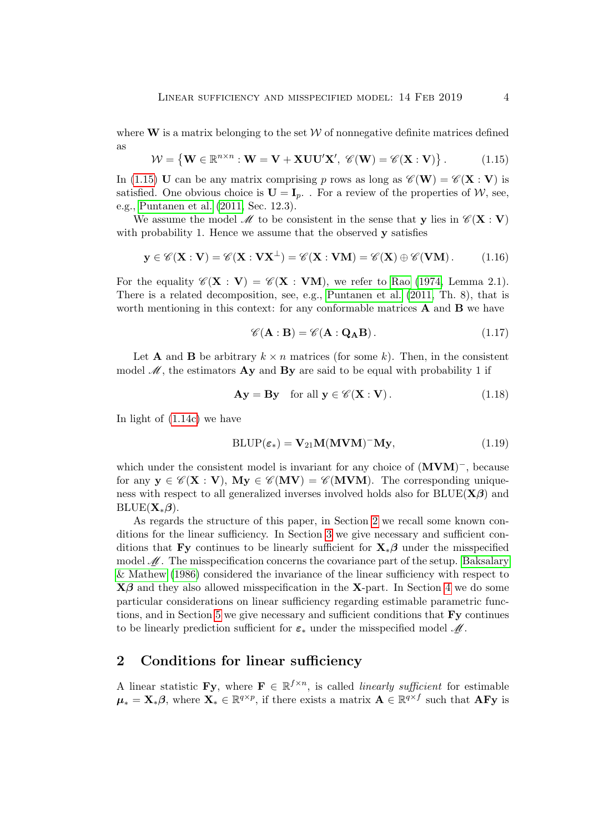where  $W$  is a matrix belonging to the set  $W$  of nonnegative definite matrices defined as

<span id="page-3-0"></span>
$$
\mathcal{W} = \{ \mathbf{W} \in \mathbb{R}^{n \times n} : \mathbf{W} = \mathbf{V} + \mathbf{X} \mathbf{U} \mathbf{U}' \mathbf{X}', \ \mathscr{C}(\mathbf{W}) = \mathscr{C}(\mathbf{X} : \mathbf{V}) \}.
$$
 (1.15)

In [\(1.15\)](#page-3-0) U can be any matrix comprising p rows as long as  $\mathscr{C}(\mathbf{W}) = \mathscr{C}(\mathbf{X} : \mathbf{V})$  is satisfied. One obvious choice is  $\mathbf{U} = \mathbf{I}_p$ . For a review of the properties of W, see, e.g., [Puntanen et al.](#page-20-3) [\(2011,](#page-20-3) Sec. 12.3).

We assume the model M to be consistent in the sense that y lies in  $\mathscr{C}(\mathbf{X} : \mathbf{V})$ with probability 1. Hence we assume that the observed  $\bf{v}$  satisfies

<span id="page-3-2"></span>
$$
\mathbf{y} \in \mathscr{C}(\mathbf{X} : \mathbf{V}) = \mathscr{C}(\mathbf{X} : \mathbf{V}\mathbf{X}^{\perp}) = \mathscr{C}(\mathbf{X} : \mathbf{V}\mathbf{M}) = \mathscr{C}(\mathbf{X}) \oplus \mathscr{C}(\mathbf{V}\mathbf{M}). \tag{1.16}
$$

For the equality  $\mathscr{C}(\mathbf{X} : \mathbf{V}) = \mathscr{C}(\mathbf{X} : \mathbf{V}\mathbf{M})$ , we refer to [Rao](#page-21-2) [\(1974,](#page-21-2) Lemma 2.1). There is a related decomposition, see, e.g., [Puntanen et al.](#page-20-3) [\(2011,](#page-20-3) Th. 8), that is worth mentioning in this context: for any conformable matrices  $A$  and  $B$  we have

<span id="page-3-3"></span>
$$
\mathscr{C}(\mathbf{A} : \mathbf{B}) = \mathscr{C}(\mathbf{A} : \mathbf{Q}_{\mathbf{A}} \mathbf{B}). \tag{1.17}
$$

Let **A** and **B** be arbitrary  $k \times n$  matrices (for some k). Then, in the consistent model  $\mathscr{M}$ , the estimators **Ay** and **By** are said to be equal with probability 1 if

$$
\mathbf{A}\mathbf{y} = \mathbf{B}\mathbf{y} \quad \text{for all } \mathbf{y} \in \mathscr{C}(\mathbf{X} : \mathbf{V}). \tag{1.18}
$$

In light of [\(1.14c\)](#page-2-1) we have

$$
BLUP(\varepsilon_*) = V_{21}M(MVM)^{-}My, \qquad (1.19)
$$

which under the consistent model is invariant for any choice of  $(MVM)^-$ , because for any  $y \in \mathscr{C}(X : V)$ ,  $My \in \mathscr{C}(MV) = \mathscr{C}(MVM)$ . The corresponding uniqueness with respect to all generalized inverses involved holds also for  $BLUE(X\beta)$  and  $BLUE(\mathbf{X}_{*}\boldsymbol{\beta}).$ 

As regards the structure of this paper, in Section [2](#page-3-1) we recall some known conditions for the linear sufficiency. In Section [3](#page-5-0) we give necessary and sufficient conditions that Fy continues to be linearly sufficient for  $\mathbf{X}_{*}$ β under the misspecified model  $\mathcal{M}$ . The misspecification concerns the covariance part of the setup. [Baksalary](#page-20-4)  $\&$  Mathew [\(1986\)](#page-20-4) considered the invariance of the linear sufficiency with respect to  $X\beta$  and they also allowed misspecification in the X-part. In Section [4](#page-14-0) we do some particular considerations on linear sufficiency regarding estimable parametric functions, and in Section [5](#page-16-0) we give necessary and sufficient conditions that Fy continues to be linearly prediction sufficient for  $\varepsilon_*$  under the misspecified model  $\mathcal{M}$ .

### <span id="page-3-1"></span>2 Conditions for linear sufficiency

A linear statistic **Fy**, where  $\mathbf{F} \in \mathbb{R}^{f \times n}$ , is called *linearly sufficient* for estimable  $\mu_* = \mathbf{X}_*\boldsymbol{\beta}$ , where  $\mathbf{X}_* \in \mathbb{R}^{q \times p}$ , if there exists a matrix  $\mathbf{A} \in \mathbb{R}^{q \times f}$  such that  $\mathbf{A} \mathbf{F} \mathbf{y}$  is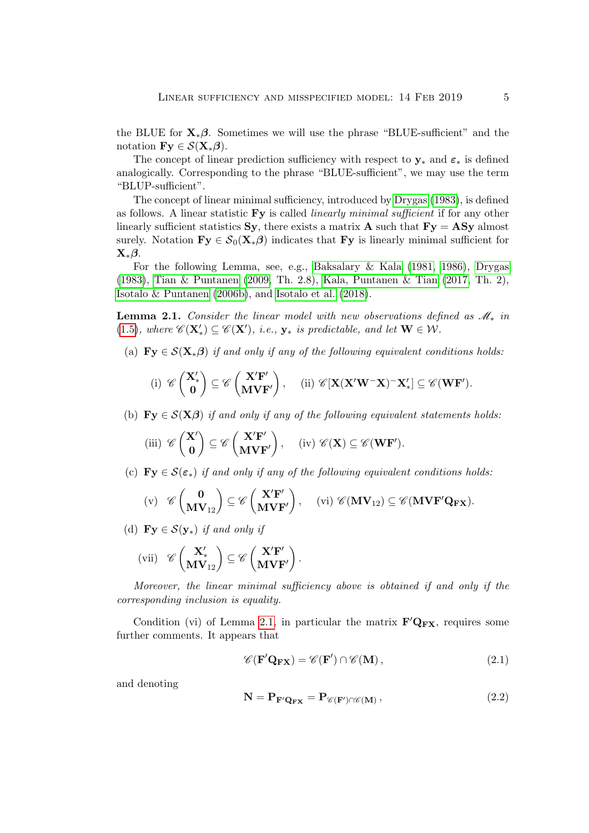the BLUE for  $\mathbf{X}_{*}\boldsymbol{\beta}$ . Sometimes we will use the phrase "BLUE-sufficient" and the notation  $\mathbf{Fy} \in \mathcal{S}(\mathbf{X}_{*}\boldsymbol{\beta}).$ 

The concept of linear prediction sufficiency with respect to  $y_*$  and  $\varepsilon_*$  is defined analogically. Corresponding to the phrase "BLUE-sufficient", we may use the term "BLUP-sufficient".

The concept of linear minimal sufficiency, introduced by [Drygas](#page-20-5) [\(1983\)](#page-20-5), is defined as follows. A linear statistic  $\bf{Fy}$  is called *linearly minimal sufficient* if for any other linearly sufficient statistics Sy, there exists a matrix **A** such that  $\mathbf{Fy} = \mathbf{ASy}$  almost surely. Notation  $\mathbf{Fy} \in \mathcal{S}_0(\mathbf{X}_*\boldsymbol{\beta})$  indicates that  $\mathbf{Fy}$  is linearly minimal sufficient for  $\mathbf{X}_{*}\boldsymbol{\beta}$ .

For the following Lemma, see, e.g., [Baksalary & Kala](#page-19-0) [\(1981,](#page-19-0) [1986\)](#page-19-1), [Drygas](#page-20-5) [\(1983\)](#page-20-5), [Tian & Puntanen](#page-21-3) [\(2009,](#page-21-3) Th. 2.8), [Kala, Puntanen & Tian](#page-20-6) [\(2017,](#page-20-6) Th. 2), [Isotalo & Puntanen](#page-20-1) [\(2006b\)](#page-20-1), and [Isotalo et al.](#page-20-7) [\(2018\)](#page-20-7).

<span id="page-4-0"></span>**Lemma 2.1.** Consider the linear model with new observations defined as  $\mathcal{M}_*$  in [\(1.5\)](#page-1-1), where  $\mathscr{C}(\mathbf{X}'_*) \subseteq \mathscr{C}(\mathbf{X}')$ , i.e.,  $\mathbf{y}_*$  is predictable, and let  $\mathbf{W} \in \mathcal{W}$ .

(a)  $\mathbf{Fy} \in \mathcal{S}(\mathbf{X}_{*}\boldsymbol{\beta})$  if and only if any of the following equivalent conditions holds:

$$
\mathrm{(i)}\ \ \mathscr{C}\left(\begin{matrix}\mathbf{X}'_{*} \\ \mathbf{0}\end{matrix}\right) \subseteq \mathscr{C}\left(\begin{matrix}\mathbf{X}'\mathbf{F}' \\ \mathbf{M}\mathbf{V}\mathbf{F}'\end{matrix}\right), \quad \ \mathrm{(ii)}\ \ \mathscr{C}[\mathbf{X}(\mathbf{X}'\mathbf{W}^-\mathbf{X})^-\mathbf{X}'_*] \subseteq \mathscr{C}(\mathbf{W}\mathbf{F}').
$$

(b)  $\mathbf{Fy} \in \mathcal{S}(\mathbf{X}\boldsymbol{\beta})$  if and only if any of the following equivalent statements holds:

$$
\text{(iii)}\ \ \mathscr{C}\left(\begin{matrix}\mathbf{X}'\\\mathbf{0}\end{matrix}\right)\subseteq\mathscr{C}\left(\begin{matrix}\mathbf{X}'\mathbf{F}'\\\mathbf{M}\mathbf{V}\mathbf{F}'\end{matrix}\right),\quad \ \ \text{(iv)}\ \ \mathscr{C}(\mathbf{X})\subseteq\mathscr{C}(\mathbf{W}\mathbf{F}').
$$

(c)  $\mathbf{Fv} \in \mathcal{S}(\varepsilon_*)$  if and only if any of the following equivalent conditions holds:

$$
\mathrm{(v)} \quad \mathscr{C}\begin{pmatrix} \mathbf{0} \\ \mathbf{M} \mathbf{V}_{12} \end{pmatrix} \subseteq \mathscr{C}\begin{pmatrix} \mathbf{X}'\mathbf{F}' \\ \mathbf{M}\mathbf{V}\mathbf{F}' \end{pmatrix}, \quad \ \ \mathrm{(vi)} \ \mathscr{C}(\mathbf{M} \mathbf{V}_{12}) \subseteq \mathscr{C}(\mathbf{M}\mathbf{V}\mathbf{F}'\mathbf{Q}_{\mathbf{F}\mathbf{X}}).
$$

(d)  $\mathbf{Fy} \in \mathcal{S}(\mathbf{y}_{*})$  if and only if

$$
\text{(vii)}\quad \mathscr{C}\begin{pmatrix} \mathbf{X}'_{*} \\ \mathbf{MV}_{12} \end{pmatrix} \subseteq \mathscr{C}\begin{pmatrix} \mathbf{X}'\mathbf{F}' \\ \mathbf{MVF}' \end{pmatrix}.
$$

Moreover, the linear minimal sufficiency above is obtained if and only if the corresponding inclusion is equality.

Condition (vi) of Lemma [2.1,](#page-4-0) in particular the matrix  $F'Q_{FX}$ , requires some further comments. It appears that

<span id="page-4-1"></span>
$$
\mathscr{C}(\mathbf{F}'\mathbf{Q}_{\mathbf{F}\mathbf{X}}) = \mathscr{C}(\mathbf{F}') \cap \mathscr{C}(\mathbf{M}), \qquad (2.1)
$$

and denoting

$$
\mathbf{N} = \mathbf{P}_{\mathbf{F'Q_{FX}}} = \mathbf{P}_{\mathscr{C}(\mathbf{F')} \cap \mathscr{C}(\mathbf{M})},\tag{2.2}
$$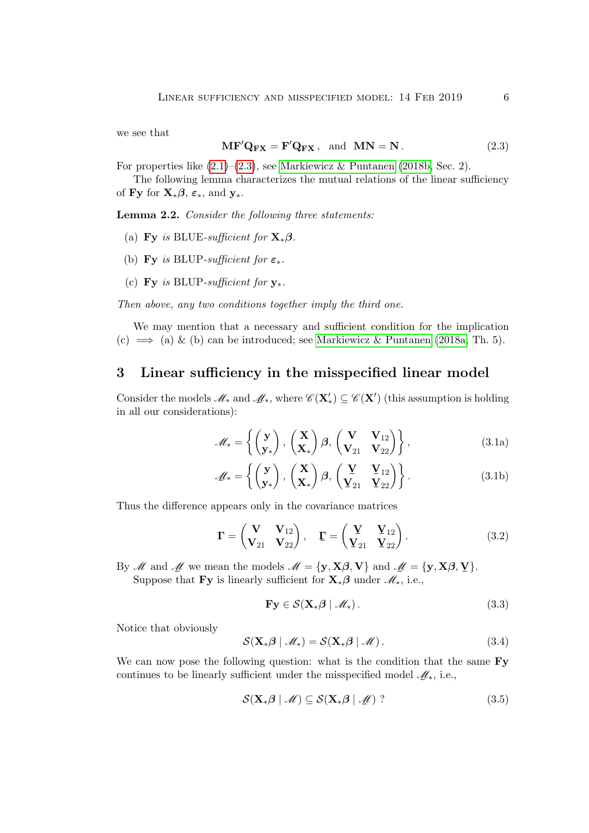we see that

<span id="page-5-1"></span>
$$
\mathbf{MF}'\mathbf{Q}_{\mathbf{FX}} = \mathbf{F}'\mathbf{Q}_{\mathbf{FX}}, \text{ and } \mathbf{MN} = \mathbf{N}. \tag{2.3}
$$

For properties like  $(2.1)$ – $(2.3)$ , see [Markiewicz & Puntanen](#page-20-8)  $(2018b, Sec. 2)$  $(2018b, Sec. 2)$ .

The following lemma characterizes the mutual relations of the linear sufficiency of Fy for  $\mathbf{X}_*\boldsymbol{\beta}$ ,  $\varepsilon_*$ , and  $\mathbf{y}_*$ .

<span id="page-5-4"></span>Lemma 2.2. Consider the following three statements:

- (a) Fy is BLUE-sufficient for  $\mathbf{X}_{*}\boldsymbol{\beta}$ .
- (b) Fy is BLUP-sufficient for  $\varepsilon_*$ .
- (c) Fy is BLUP-sufficient for  $y_*$ .

Then above, any two conditions together imply the third one.

We may mention that a necessary and sufficient condition for the implication (c)  $\implies$  (a) & (b) can be introduced; see [Markiewicz & Puntanen](#page-20-9) [\(2018a,](#page-20-9) Th. 5).

### <span id="page-5-0"></span>3 Linear sufficiency in the misspecified linear model

Consider the models  $\mathscr{M}_*$  and  $\mathscr{M}_*$ , where  $\mathscr{C}(\mathbf{X}') \subseteq \mathscr{C}(\mathbf{X}')$  (this assumption is holding in all our considerations). in all our considerations):

$$
\mathscr{M}_* = \left\{ \begin{pmatrix} \mathbf{y} \\ \mathbf{y}_* \end{pmatrix}, \begin{pmatrix} \mathbf{X} \\ \mathbf{X}_* \end{pmatrix} \boldsymbol{\beta}, \begin{pmatrix} \mathbf{V} & \mathbf{V}_{12} \\ \mathbf{V}_{21} & \mathbf{V}_{22} \end{pmatrix} \right\},
$$
(3.1a)

$$
\mathscr{M}_* = \left\{ \begin{pmatrix} \mathbf{y} \\ \mathbf{y}_* \end{pmatrix}, \begin{pmatrix} \mathbf{X} \\ \mathbf{X}_* \end{pmatrix} \boldsymbol{\beta}, \begin{pmatrix} \mathbf{Y} & \mathbf{Y}_{12} \\ \mathbf{Y}_{21} & \mathbf{Y}_{22} \end{pmatrix} \right\}.
$$
 (3.1b)

Thus the difference appears only in the covariance matrices

$$
\mathbf{\Gamma} = \begin{pmatrix} \mathbf{V} & \mathbf{V}_{12} \\ \mathbf{V}_{21} & \mathbf{V}_{22} \end{pmatrix}, \quad \mathbf{\Gamma} = \begin{pmatrix} \mathbf{\underline{V}} & \mathbf{\underline{V}}_{12} \\ \mathbf{\underline{V}}_{21} & \mathbf{\underline{V}}_{22} \end{pmatrix}.
$$
 (3.2)

By *M* and <u>*M*</u> we mean the models  $M = \{y, X\beta, V\}$  and  $M = \{y, X\beta, V\}$ .<br>Suppose that Fy is linearly sufficient for **Y**  $\beta$  under  $M$  is a

Suppose that Fy is linearly sufficient for  $\mathbf{X}_{*}$  $\boldsymbol{\beta}$  under  $\mathcal{M}_{*}$ , i.e.,

$$
\mathbf{Fy} \in \mathcal{S}(\mathbf{X}_{*}\boldsymbol{\beta} \mid \mathcal{M}_{*}).
$$
 (3.3)

Notice that obviously

<span id="page-5-2"></span>
$$
\mathcal{S}(\mathbf{X}_{*}\boldsymbol{\beta} \mid \mathcal{M}_{*}) = \mathcal{S}(\mathbf{X}_{*}\boldsymbol{\beta} \mid \mathcal{M}). \tag{3.4}
$$

We can now pose the following question: what is the condition that the same  $\mathbf{F}$ y continues to be linearly sufficient under the misspecified model  $\mathcal{M}_*$ , i.e.,

<span id="page-5-3"></span>
$$
S(\mathbf{X}_{*}\boldsymbol{\beta} \mid \mathcal{M}) \subseteq S(\mathbf{X}_{*}\boldsymbol{\beta} \mid \mathcal{M})
$$
 (3.5)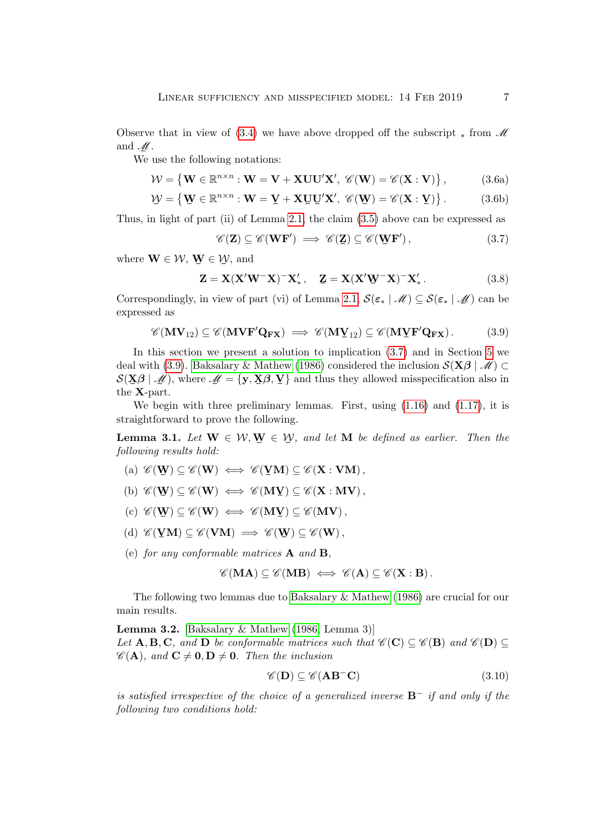Observe that in view of  $(3.4)$  we have above dropped off the subscript  $\ast$  from  $\mathscr M$ and  $\mathscr{M}$ .

We use the following notations:

$$
\mathcal{W} = \left\{ \mathbf{W} \in \mathbb{R}^{n \times n} : \mathbf{W} = \mathbf{V} + \mathbf{X} \mathbf{U} \mathbf{U}' \mathbf{X}', \ \mathscr{C}(\mathbf{W}) = \mathscr{C}(\mathbf{X} : \mathbf{V}) \right\},\tag{3.6a}
$$

$$
\mathcal{W} = \left\{ \mathbf{W} \in \mathbb{R}^{n \times n} : \mathbf{W} = \mathbf{Y} + \mathbf{X} \mathbf{U} \mathbf{U}' \mathbf{X}', \ \mathscr{C}(\mathbf{W}) = \mathscr{C}(\mathbf{X} : \mathbf{Y}) \right\}.
$$
 (3.6b)

Thus, in light of part (ii) of Lemma [2.1,](#page-4-0) the claim [\(3.5\)](#page-5-3) above can be expressed as

<span id="page-6-0"></span>
$$
\mathscr{C}(\mathbf{Z}) \subseteq \mathscr{C}(\mathbf{WF}') \implies \mathscr{C}(\mathbf{Z}) \subseteq \mathscr{C}(\mathbf{WF}'),\tag{3.7}
$$

where  $\mathbf{W} \in \mathcal{W}, \mathbf{W} \in \mathcal{W}$ , and

$$
\mathbf{Z} = \mathbf{X} (\mathbf{X}' \mathbf{W}^- \mathbf{X})^- \mathbf{X}'_*, \quad \mathbf{Z} = \mathbf{X} (\mathbf{X}' \mathbf{W}^- \mathbf{X})^- \mathbf{X}'_*.
$$
 (3.8)

Correspondingly, in view of part (vi) of Lemma [2.1,](#page-4-0)  $S(\varepsilon_* | \mathcal{M}) \subseteq S(\varepsilon_* | \mathcal{M})$  can be expressed as expressed as

<span id="page-6-1"></span>
$$
\mathscr{C}(\mathbf{MV}_{12}) \subseteq \mathscr{C}(\mathbf{MVF'Q_{FX}}) \implies \mathscr{C}(\mathbf{MY}_{12}) \subseteq \mathscr{C}(\mathbf{MVF'Q_{FX}}). \tag{3.9}
$$

In this section we present a solution to implication [\(3.7\)](#page-6-0) and in Section [5](#page-16-0) we deal with [\(3.9\)](#page-6-1). [Baksalary & Mathew](#page-20-4) [\(1986\)](#page-20-4) considered the inclusion  $\mathcal{S}(\mathbf{X}\boldsymbol{\beta} \mid \mathcal{M}) \subset$  $\mathcal{S}(\underline{\mathbf{X}}\boldsymbol{\beta} \mid \mathcal{M})$ , where  $\mathcal{M} = {\mathbf{y}, \mathbf{X}\boldsymbol{\beta}, \mathbf{Y}}$  and thus they allowed misspecification also in  $\frac{1}{2}$  the **X**-part.

We begin with three preliminary lemmas. First, using  $(1.16)$  and  $(1.17)$ , it is straightforward to prove the following.

<span id="page-6-3"></span>**Lemma 3.1.** Let  $\mathbf{W} \in \mathcal{W}, \mathbf{W} \in \mathcal{W}$ , and let  $\mathbf{M}$  be defined as earlier. Then the following may be hold. following results hold:

- (a)  $\mathscr{C}(\mathbf{W}) \subseteq \mathscr{C}(\mathbf{W}) \iff \mathscr{C}(\mathbf{Y} \mathbf{M}) \subseteq \mathscr{C}(\mathbf{X} : \mathbf{V} \mathbf{M}),$
- (b)  $\mathscr{C}(\mathbf{W}) \subseteq \mathscr{C}(\mathbf{W}) \iff \mathscr{C}(\mathbf{M}\mathbf{Y}) \subseteq \mathscr{C}(\mathbf{X} : \mathbf{MV}),$
- $(c) \mathscr{C}(\mathbf{W}) \subseteq \mathscr{C}(\mathbf{W}) \iff \mathscr{C}(\mathbf{M}\mathbf{Y}) \subseteq \mathscr{C}(\mathbf{MV}),$
- (d)  $\mathscr{C}(\mathbf{V}\mathbf{M}) \subseteq \mathscr{C}(\mathbf{V}\mathbf{M}) \implies \mathscr{C}(\mathbf{W}) \subseteq \mathscr{C}(\mathbf{W}),$
- <span id="page-6-4"></span>(e) for any conformable matrices A and B,

$$
\mathscr{C}(\mathbf{M}\mathbf{A}) \subseteq \mathscr{C}(\mathbf{M}\mathbf{B}) \iff \mathscr{C}(\mathbf{A}) \subseteq \mathscr{C}(\mathbf{X}:\mathbf{B}).
$$

The following two lemmas due to [Baksalary & Mathew](#page-20-4) [\(1986\)](#page-20-4) are crucial for our main results.

<span id="page-6-2"></span>Lemma 3.2. [\[Baksalary & Mathew](#page-20-4) [\(1986,](#page-20-4) Lemma 3)] Let A, B, C, and D be conformable matrices such that  $\mathscr{C}(\mathbf{C}) \subseteq \mathscr{C}(\mathbf{B})$  and  $\mathscr{C}(\mathbf{D}) \subseteq$  $\mathscr{C}(\mathbf{A})$ , and  $\mathbf{C} \neq \mathbf{0}, \mathbf{D} \neq \mathbf{0}$ . Then the inclusion

$$
\mathscr{C}(\mathbf{D}) \subseteq \mathscr{C}(\mathbf{A}\mathbf{B}^{-}\mathbf{C})
$$
\n(3.10)

is satisfied irrespective of the choice of a generalized inverse  $\mathbf{B}^-$  if and only if the following two conditions hold: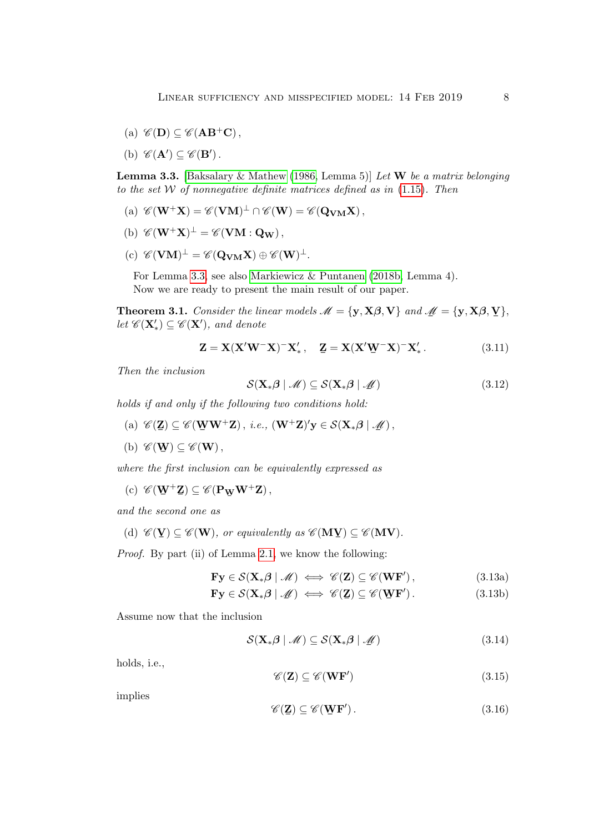- (a)  $\mathscr{C}(\mathbf{D}) \subseteq \mathscr{C}(\mathbf{A}\mathbf{B}^+\mathbf{C})$ ,
- (b)  $\mathscr{C}(\mathbf{A}') \subseteq \mathscr{C}(\mathbf{B}')$ .

<span id="page-7-0"></span>**Lemma 3.3.** [\[Baksalary & Mathew](#page-20-4) [\(1986,](#page-20-4) Lemma 5)] Let **W** be a matrix belonging to the set  $W$  of nonnegative definite matrices defined as in  $(1.15)$ . Then

- <span id="page-7-6"></span>(a)  $\mathscr{C}(\mathbf{W}^+\mathbf{X}) = \mathscr{C}(\mathbf{V}\mathbf{M})^{\perp} \cap \mathscr{C}(\mathbf{W}) = \mathscr{C}(\mathbf{Q}_{\mathbf{V}\mathbf{M}}\mathbf{X}),$
- (b)  $\mathscr{C}(\mathbf{W}^+\mathbf{X})^{\perp} = \mathscr{C}(\mathbf{V}\mathbf{M} : \mathbf{Q}_{\mathbf{W}}),$
- $(c)$   $\mathscr{C}(\mathbf{V}\mathbf{M})^{\perp} = \mathscr{C}(\mathbf{Q}_{\mathbf{V}\mathbf{M}}\mathbf{X}) \oplus \mathscr{C}(\mathbf{W})^{\perp}.$

For Lemma [3.3,](#page-7-0) see also [Markiewicz & Puntanen](#page-20-8) [\(2018b,](#page-20-8) Lemma 4). Now we are ready to present the main result of our paper.

<span id="page-7-3"></span>**Theorem 3.1.** Consider the linear models  $M = {\bf y, X\beta, V}$  and  $M = {\bf y, X\beta, V}$ ,<br>let  $\mathscr{L}({\bf X}') \subset \mathscr{L}({\bf X}')$  and denote let  $\mathscr{C}(\mathbf{X}'_*) \subseteq \mathscr{C}(\mathbf{X}')$ , and denote

$$
\mathbf{Z} = \mathbf{X} (\mathbf{X}' \mathbf{W}^- \mathbf{X})^- \mathbf{X}'_*, \quad \mathbf{Z} = \mathbf{X} (\mathbf{X}' \mathbf{W}^- \mathbf{X})^- \mathbf{X}'_*.
$$
 (3.11)

Then the inclusion

<span id="page-7-4"></span>
$$
S(\mathbf{X}_{*}\boldsymbol{\beta} \mid \mathcal{M}) \subseteq S(\mathbf{X}_{*}\boldsymbol{\beta} \mid \mathcal{M}) \tag{3.12}
$$

holds if and only if the following two conditions hold:

- <span id="page-7-5"></span>(a)  $\mathscr{C}(\mathbf{Z}) \subseteq \mathscr{C}(\mathbf{WW}^+\mathbf{Z}),$  i.e.,  $(\mathbf{W}^+\mathbf{Z})'\mathbf{y} \in \mathcal{S}(\mathbf{X}_*\boldsymbol{\beta} \mid \mathcal{M}),$
- (b)  $\mathscr{C}(\mathbf{W}) \subseteq \mathscr{C}(\mathbf{W}),$

where the first inclusion can be equivalently expressed as

(c)  $\mathscr{C}(\mathbf{W}^+\mathbf{Z}) \subseteq \mathscr{C}(\mathbf{P}_{\mathbf{W}}\mathbf{W}^+\mathbf{Z}),$ ¯

and the second one as

(d)  $\mathscr{C}(\mathbf{V}) \subseteq \mathscr{C}(\mathbf{W})$ , or equivalently as  $\mathscr{C}(\mathbf{MV}) \subseteq \mathscr{C}(\mathbf{MV})$ .

Proof. By part (ii) of Lemma [2.1,](#page-4-0) we know the following:

$$
\mathbf{Fy} \in \mathcal{S}(\mathbf{X}_{*}\boldsymbol{\beta} \mid \mathscr{M}) \iff \mathscr{C}(\mathbf{Z}) \subseteq \mathscr{C}(\mathbf{WF}'), \tag{3.13a}
$$

$$
\mathbf{F}\mathbf{y} \in \mathcal{S}(\mathbf{X}_{*}\boldsymbol{\beta} \mid \mathscr{M}) \iff \mathscr{C}(\mathbf{Z}) \subseteq \mathscr{C}(\mathbf{W}\mathbf{F}'). \tag{3.13b}
$$

Assume now that the inclusion

<span id="page-7-2"></span>
$$
S(\mathbf{X}_{*}\boldsymbol{\beta} \mid \mathcal{M}) \subseteq S(\mathbf{X}_{*}\boldsymbol{\beta} \mid \mathcal{M})
$$
\n(3.14)

holds, i.e.,

<span id="page-7-1"></span>
$$
\mathscr{C}(\mathbf{Z}) \subseteq \mathscr{C}(\mathbf{WF}')
$$
\n(3.15)

implies

$$
\mathscr{C}(\mathbf{Z}) \subseteq \mathscr{C}(\mathbf{W}\mathbf{F}'). \tag{3.16}
$$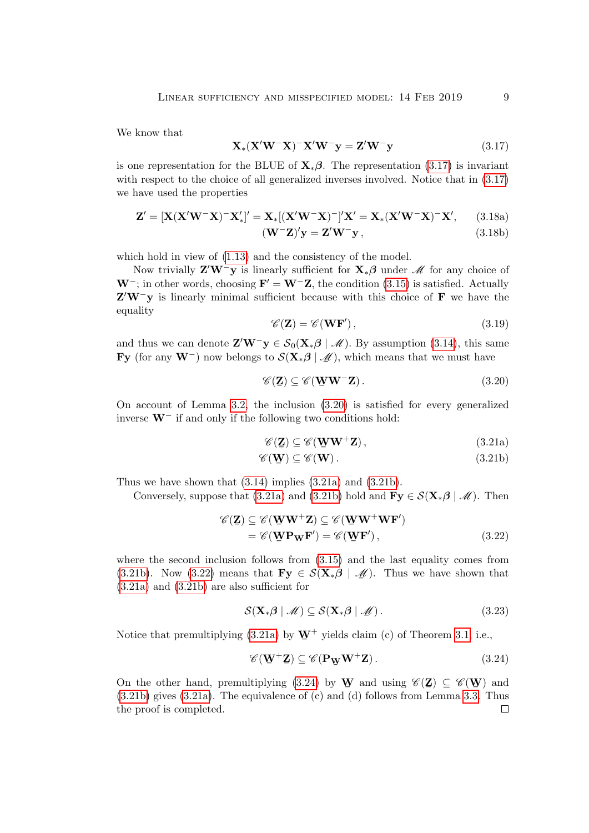We know that

<span id="page-8-0"></span>
$$
\mathbf{X}_{*}(\mathbf{X}'\mathbf{W}^{-}\mathbf{X})^{-}\mathbf{X}'\mathbf{W}^{-}\mathbf{y} = \mathbf{Z}'\mathbf{W}^{-}\mathbf{y}
$$
\n(3.17)

is one representation for the BLUE of  $\mathbf{X}_{*}\boldsymbol{\beta}$ . The representation [\(3.17\)](#page-8-0) is invariant with respect to the choice of all generalized inverses involved. Notice that in  $(3.17)$ we have used the properties

$$
\mathbf{Z}' = [\mathbf{X}(\mathbf{X}'\mathbf{W}^-\mathbf{X})^-\mathbf{X}'_*]' = \mathbf{X}_*[(\mathbf{X}'\mathbf{W}^-\mathbf{X})^-]' \mathbf{X}' = \mathbf{X}_*(\mathbf{X}'\mathbf{W}^-\mathbf{X})^-\mathbf{X}', \qquad (3.18a)
$$

$$
(\mathbf{W}^-\mathbf{Z})'\mathbf{y} = \mathbf{Z}'\mathbf{W}^-\mathbf{y},\tag{3.18b}
$$

which hold in view of  $(1.13)$  and the consistency of the model.

Now trivially  $\mathbf{Z}'\mathbf{W}^-\mathbf{y}$  is linearly sufficient for  $\mathbf{X}_*\boldsymbol{\beta}$  under  $\mathscr{M}$  for any choice of  $W^-$ ; in other words, choosing  $F' = W^-Z$ , the condition [\(3.15\)](#page-7-1) is satisfied. Actually  $Z'W^-y$  is linearly minimal sufficient because with this choice of F we have the equality

$$
\mathscr{C}(\mathbf{Z}) = \mathscr{C}(\mathbf{WF}'),\tag{3.19}
$$

and thus we can denote  $\mathbf{Z}'\mathbf{W}^-\mathbf{y} \in \mathcal{S}_0(\mathbf{X}_*\boldsymbol{\beta} \mid \mathcal{M})$ . By assumption [\(3.14\)](#page-7-2), this same **Fy** (for any **W**<sup>-</sup>) now belongs to  $\mathcal{S}(\mathbf{X}_{*}\boldsymbol{\beta} | \mathcal{M})$ , which means that we must have

<span id="page-8-1"></span>
$$
\mathscr{C}(\mathbf{Z}) \subseteq \mathscr{C}(\mathbf{W}\mathbf{W}^{-}\mathbf{Z}).
$$
\n(3.20)

On account of Lemma [3.2,](#page-6-2) the inclusion [\(3.20\)](#page-8-1) is satisfied for every generalized inverse W<sup>−</sup> if and only if the following two conditions hold:

<span id="page-8-3"></span><span id="page-8-2"></span>
$$
\mathscr{C}(\mathbf{Z}) \subseteq \mathscr{C}(\mathbf{W}\mathbf{W}^+\mathbf{Z}),\tag{3.21a}
$$

<span id="page-8-4"></span>
$$
\mathscr{C}(\mathbf{W}) \subseteq \mathscr{C}(\mathbf{W}).\tag{3.21b}
$$

Thus we have shown that [\(3.14\)](#page-7-2) implies [\(3.21a\)](#page-8-2) and [\(3.21b\)](#page-8-3).

Conversely, suppose that [\(3.21a\)](#page-8-2) and [\(3.21b\)](#page-8-3) hold and  $\mathbf{Fy} \in \mathcal{S}(\mathbf{X}_{*}\beta \mid \mathcal{M})$ . Then

$$
\mathscr{C}(\mathbf{Z}) \subseteq \mathscr{C}(\mathbf{W}\mathbf{W}^+\mathbf{Z}) \subseteq \mathscr{C}(\mathbf{W}\mathbf{W}^+\mathbf{W}\mathbf{F}')
$$
  
= 
$$
\mathscr{C}(\mathbf{W}\mathbf{P}\mathbf{W}\mathbf{F}') = \mathscr{C}(\mathbf{W}\mathbf{F}'),
$$
 (3.22)

where the second inclusion follows from [\(3.15\)](#page-7-1) and the last equality comes from [\(3.21b\)](#page-8-3). Now [\(3.22\)](#page-8-4) means that  $\mathbf{F} \mathbf{y} \in \mathcal{S}(\mathbf{X} \cdot \mathbf{\beta} \mid \mathcal{M})$ . Thus we have shown that [\(3.21a\)](#page-8-2) and [\(3.21b\)](#page-8-3) are also sufficient for

$$
\mathcal{S}(\mathbf{X}_{*}\boldsymbol{\beta} \mid \mathscr{M}) \subseteq \mathcal{S}(\mathbf{X}_{*}\boldsymbol{\beta} \mid \mathscr{M}). \tag{3.23}
$$

Notice that premultiplying  $(3.21a)$  by  $\mathbf{W}^+$  yields claim (c) of Theorem [3.1,](#page-7-3) i.e.,

<span id="page-8-5"></span>
$$
\mathscr{C}(\mathbf{W}^+\mathbf{Z}) \subseteq \mathscr{C}(\mathbf{P}_{\mathbf{W}}\mathbf{W}^+\mathbf{Z}).\tag{3.24}
$$

On the other hand, premultiplying [\(3.24\)](#page-8-5) by W and using  $\mathscr{C}(\mathbf{Z}) \subseteq \mathscr{C}(\mathbf{W})$  and [\(3.21b\)](#page-8-3) gives [\(3.21a\)](#page-8-2). The equivalence of (c) and (d) follows from Lemma [3.3.](#page-7-0) Thus the proof is completed. $\Box$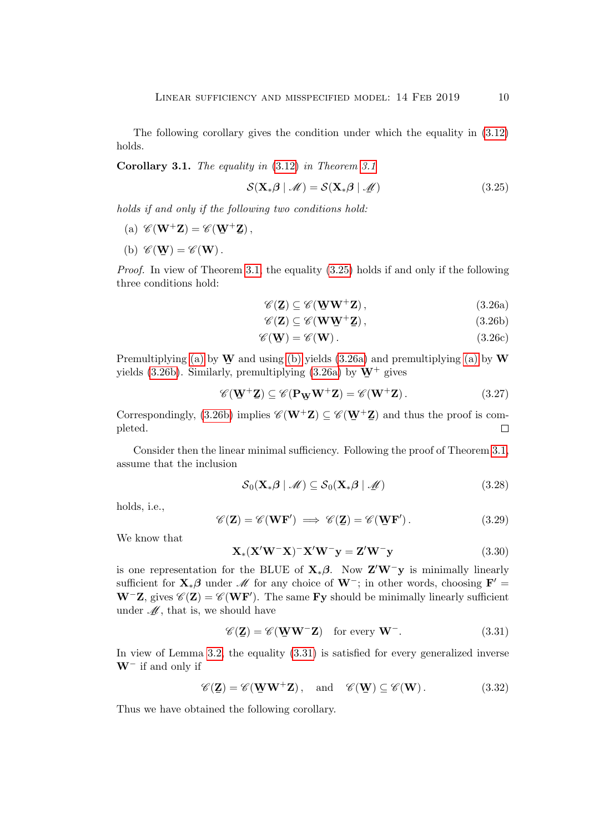The following corollary gives the condition under which the equality in [\(3.12\)](#page-7-4) holds.

**Corollary [3.1](#page-7-3).** The equality in  $(3.12)$  in Theorem 3.1

<span id="page-9-0"></span>
$$
S(\mathbf{X}_{*}\boldsymbol{\beta} \mid \mathcal{M}) = S(\mathbf{X}_{*}\boldsymbol{\beta} \mid \mathcal{M}) \qquad (3.25)
$$

holds if and only if the following two conditions hold:

- <span id="page-9-1"></span>(a)  $\mathscr{C}(\mathbf{W}^+\mathbf{Z}) = \mathscr{C}(\mathbf{W}^+\mathbf{Z}),$
- <span id="page-9-2"></span>(b)  $\mathscr{C}(\mathbf{W}) = \mathscr{C}(\mathbf{W})$ .

Proof. In view of Theorem [3.1,](#page-7-3) the equality [\(3.25\)](#page-9-0) holds if and only if the following three conditions hold:

<span id="page-9-4"></span><span id="page-9-3"></span>
$$
\mathscr{C}(\mathbf{Z}) \subseteq \mathscr{C}(\mathbf{W}\mathbf{W}^+\mathbf{Z}),\tag{3.26a}
$$

$$
\mathscr{C}(\mathbf{Z}) \subseteq \mathscr{C}(\mathbf{W}\mathbf{W}^+\mathbf{Z}),\tag{3.26b}
$$

$$
\mathscr{C}(\mathbf{W}) = \mathscr{C}(\mathbf{W}). \tag{3.26c}
$$

Premultiplying [\(a\)](#page-9-1) by  $\Psi$  and using [\(b\)](#page-9-2) yields [\(3.26a\)](#page-9-3) and premultiplying (a) by  $\Psi$ yields [\(3.26b\)](#page-9-4). Similarly, premultiplying [\(3.26a\)](#page-9-3) by  $W^+$  gives

$$
\mathscr{C}(\mathbf{W}^+\mathbf{Z}) \subseteq \mathscr{C}(\mathbf{P}_{\mathbf{W}}\mathbf{W}^+\mathbf{Z}) = \mathscr{C}(\mathbf{W}^+\mathbf{Z}).
$$
\n(3.27)

Correspondingly, [\(3.26b\)](#page-9-4) implies  $\mathscr{C}(\mathbf{W}^+\mathbf{Z}) \subseteq \mathscr{C}(\mathbf{W}^+\mathbf{Z})$  and thus the proof is completed.  $\Box$ 

Consider then the linear minimal sufficiency. Following the proof of Theorem [3.1,](#page-7-3) assume that the inclusion

$$
S_0(\mathbf{X}_*\boldsymbol{\beta} \mid \mathcal{M}) \subseteq S_0(\mathbf{X}_*\boldsymbol{\beta} \mid \mathcal{M})
$$
\n(3.28)

holds, i.e.,

$$
\mathscr{C}(\mathbf{Z}) = \mathscr{C}(\mathbf{WF}') \implies \mathscr{C}(\mathbf{Z}) = \mathscr{C}(\mathbf{\Psi}\mathbf{F}'). \tag{3.29}
$$

We know that

$$
\mathbf{X}_{*}(\mathbf{X}'\mathbf{W}^{-}\mathbf{X})^{-}\mathbf{X}'\mathbf{W}^{-}\mathbf{y} = \mathbf{Z}'\mathbf{W}^{-}\mathbf{y}
$$
\n(3.30)

is one representation for the BLUE of  $X_*\beta$ . Now  $Z'W^-y$  is minimally linearly sufficient for  $\mathbf{X}_{*}\boldsymbol{\beta}$  under  $\mathcal{M}$  for any choice of  $\mathbf{W}^-$ ; in other words, choosing  $\mathbf{F}' =$  $W^-Z$ , gives  $\mathscr{C}(Z) = \mathscr{C}(WF')$ . The same Fy should be minimally linearly sufficient under  $M$ , that is, we should have

<span id="page-9-5"></span>
$$
\mathscr{C}(\mathbf{Z}) = \mathscr{C}(\mathbf{W}\mathbf{W}^{-}\mathbf{Z}) \quad \text{for every } \mathbf{W}^{-}.
$$
 (3.31)

In view of Lemma [3.2,](#page-6-2) the equality [\(3.31\)](#page-9-5) is satisfied for every generalized inverse  $W^-$  if and only if

$$
\mathscr{C}(\mathbf{Z}) = \mathscr{C}(\mathbf{W}\mathbf{W}^+\mathbf{Z}), \text{ and } \mathscr{C}(\mathbf{W}) \subseteq \mathscr{C}(\mathbf{W}). \tag{3.32}
$$

Thus we have obtained the following corollary.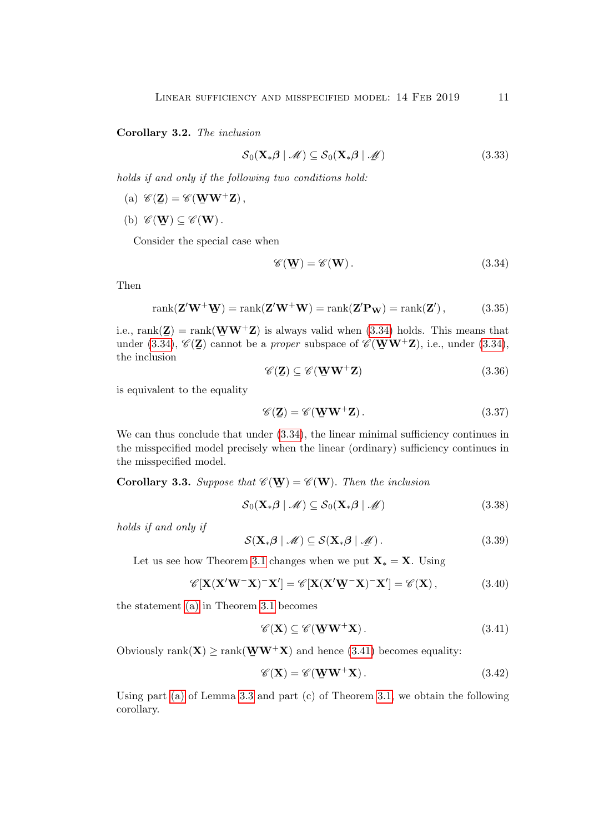#### Corollary 3.2. The inclusion

$$
S_0(\mathbf{X}_*\boldsymbol{\beta} \mid \mathcal{M}) \subseteq S_0(\mathbf{X}_*\boldsymbol{\beta} \mid \mathcal{M})
$$
\n(3.33)

holds if and only if the following two conditions hold:

- (a)  $\mathscr{C}(\mathbf{Z}) = \mathscr{C}(\mathbf{W}\mathbf{W}^+\mathbf{Z}),$
- (b)  $\mathscr{C}(\mathbf{W}) \subseteq \mathscr{C}(\mathbf{W})$ .

Consider the special case when

<span id="page-10-0"></span>
$$
\mathscr{C}(\mathbf{W}) = \mathscr{C}(\mathbf{W}). \tag{3.34}
$$

Then

$$
rank(\mathbf{Z}'\mathbf{W}^+\mathbf{W}) = rank(\mathbf{Z}'\mathbf{W}^+\mathbf{W}) = rank(\mathbf{Z}'\mathbf{P}_\mathbf{W}) = rank(\mathbf{Z}') ,
$$
 (3.35)

i.e., rank $(\mathbf{Z}) = \text{rank}(\mathbf{W}\mathbf{W}^{+}\mathbf{Z})$  is always valid when [\(3.34\)](#page-10-0) holds. This means that i.e., rann( $\Xi$ ) cannot be a proper subspace of  $\mathscr{C}(\mathbf{W}\mathbf{W}^+\mathbf{Z})$ , i.e., under [\(3.34\)](#page-10-0), the inclusion the inclusion

$$
\mathscr{C}(\mathbf{Z}) \subseteq \mathscr{C}(\mathbf{W}\mathbf{W}^+\mathbf{Z})\tag{3.36}
$$

is equivalent to the equality

$$
\mathscr{C}(\mathbf{Z}) = \mathscr{C}(\mathbf{W}\mathbf{W}^+\mathbf{Z}).\tag{3.37}
$$

We can thus conclude that under  $(3.34)$ , the linear minimal sufficiency continues in the misspecified model precisely when the linear (ordinary) sufficiency continues in the misspecified model.

**Corollary 3.3.** Suppose that  $\mathscr{C}(\mathbf{W}) = \mathscr{C}(\mathbf{W})$ . Then the inclusion

$$
S_0(\mathbf{X}_*\boldsymbol{\beta} \mid \mathcal{M}) \subseteq S_0(\mathbf{X}_*\boldsymbol{\beta} \mid \mathcal{M})
$$
\n(3.38)

holds if and only if

$$
\mathcal{S}(\mathbf{X}_{*}\boldsymbol{\beta} \mid \mathcal{M}) \subseteq \mathcal{S}(\mathbf{X}_{*}\boldsymbol{\beta} \mid \mathcal{M}). \tag{3.39}
$$

Let us see how Theorem [3.1](#page-7-3) changes when we put  $\mathbf{X}_* = \mathbf{X}$ . Using

$$
\mathscr{C}[\mathbf{X}(\mathbf{X}'\mathbf{W}^-\mathbf{X})^-\mathbf{X}'] = \mathscr{C}[\mathbf{X}(\mathbf{X}'\mathbf{W}^-\mathbf{X})^-\mathbf{X}'] = \mathscr{C}(\mathbf{X}),
$$
(3.40)

the statement [\(a\)](#page-7-5) in Theorem [3.1](#page-7-3) becomes

<span id="page-10-1"></span>
$$
\mathscr{C}(\mathbf{X}) \subseteq \mathscr{C}(\mathbf{\underline{W}W}^{+}\mathbf{X}). \tag{3.41}
$$

Obviously rank( $\mathbf{X}$ )  $\geq$  rank( $\mathbf{W}\mathbf{W}^{+}\mathbf{X}$ ) and hence [\(3.41\)](#page-10-1) becomes equality:

$$
\mathscr{C}(\mathbf{X}) = \mathscr{C}(\mathbf{\underline{W}W}^{+}\mathbf{X}). \tag{3.42}
$$

Using part [\(a\)](#page-7-6) of Lemma [3.3](#page-7-0) and part (c) of Theorem [3.1,](#page-7-3) we obtain the following corollary.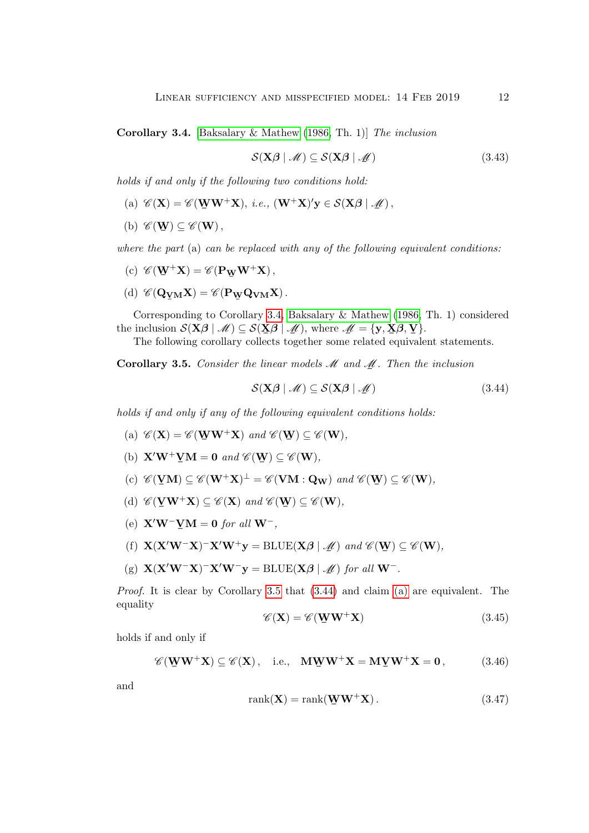<span id="page-11-0"></span>Corollary 3.4. [\[Baksalary & Mathew](#page-20-4) [\(1986,](#page-20-4) Th. 1)] The inclusion

$$
\mathcal{S}(\mathbf{X}\boldsymbol{\beta} \mid \mathcal{M}) \subseteq \mathcal{S}(\mathbf{X}\boldsymbol{\beta} \mid \mathcal{M}) \tag{3.43}
$$

holds if and only if the following two conditions hold:

- (a)  $\mathscr{C}(\mathbf{X}) = \mathscr{C}(\mathbf{W}\mathbf{W}^{+}\mathbf{X}), \ i.e., (\mathbf{W}^{+}\mathbf{X})'\mathbf{y} \in \mathcal{S}(\mathbf{X}\boldsymbol{\beta} \mid \mathcal{M}),$
- (b)  $\mathscr{C}(\mathbf{W}) \subseteq \mathscr{C}(\mathbf{W}),$

where the part  $(a)$  can be replaced with any of the following equivalent conditions:

- (c)  $\mathscr{C}(\mathbf{W}^+\mathbf{X}) = \mathscr{C}(\mathbf{P}_{\mathbf{W}}\mathbf{W}^+\mathbf{X}),$ ¯
- (d)  $\mathscr{C}(\mathbf{Q}_{\mathbf{Y}\mathbf{M}}\mathbf{X}) = \mathscr{C}(\mathbf{P}_{\mathbf{W}}\mathbf{Q}_{\mathbf{V}\mathbf{M}}\mathbf{X})$ . ¯ ¯

Corresponding to Corollary [3.4,](#page-11-0) [Baksalary & Mathew](#page-20-4) [\(1986,](#page-20-4) Th. 1) considered the inclusion  $\mathcal{S}(\mathbf{X}\boldsymbol{\beta} \mid \mathcal{M}) \subseteq \mathcal{S}(\mathbf{X}\boldsymbol{\beta} \mid \mathcal{M})$ , where  $\mathcal{M} = {\mathbf{y}, \mathbf{X}\boldsymbol{\beta}, \mathbf{Y}}$ .

The following corollary collects together some related equivalent statements.

<span id="page-11-1"></span>**Corollary 3.5.** Consider the linear models  $M$  and  $M$ . Then the inclusion

<span id="page-11-2"></span>
$$
S(\mathbf{X}\boldsymbol{\beta} \mid \mathcal{M}) \subseteq S(\mathbf{X}\boldsymbol{\beta} \mid \mathcal{M}) \tag{3.44}
$$

holds if and only if any of the following equivalent conditions holds:

- <span id="page-11-3"></span>(a)  $\mathscr{C}(\mathbf{X}) = \mathscr{C}(\mathbf{W}\mathbf{W}^+\mathbf{X})$  and  $\mathscr{C}(\mathbf{W}) \subseteq \mathscr{C}(\mathbf{W}),$
- <span id="page-11-6"></span>(b)  $\mathbf{X}'\mathbf{W}^+\mathbf{Y}\mathbf{M} = \mathbf{0}$  and  $\mathscr{C}(\mathbf{W}) \subseteq \mathscr{C}(\mathbf{W}),$
- <span id="page-11-7"></span>(c)  $\mathscr{C}(\mathbf{Y}\mathbf{M}) \subseteq \mathscr{C}(\mathbf{W}^+\mathbf{X})^{\perp} = \mathscr{C}(\mathbf{V}\mathbf{M} : \mathbf{Q}_\mathbf{W})$  and  $\mathscr{C}(\mathbf{W}) \subseteq \mathscr{C}(\mathbf{W})$ ,
- <span id="page-11-8"></span>(d)  $\mathscr{C}(\underline{V}W^+\mathbf{X}) \subseteq \mathscr{C}(\mathbf{X})$  and  $\mathscr{C}(\underline{W}) \subseteq \mathscr{C}(\mathbf{W}),$
- <span id="page-11-9"></span>(e)  $\mathbf{X}'\mathbf{W}^- \mathbf{Y} \mathbf{M} = \mathbf{0}$  for all  $\mathbf{W}^-$ ,
- <span id="page-11-10"></span>(f)  $X(X'W^-X)^-X'W^+y = \text{BLUE}(X\beta \mid \mathcal{M})$  and  $\mathcal{C}(W) \subseteq \mathcal{C}(W)$ ,
- <span id="page-11-11"></span>(g)  $\mathbf{X}(\mathbf{X}'\mathbf{W}^-\mathbf{X})^-\mathbf{X}'\mathbf{W}^-\mathbf{y} = \text{BLUE}(\mathbf{X}\boldsymbol{\beta} \mid \mathcal{M})$  for all  $\mathbf{W}^-$ .

*Proof.* It is clear by Corollary [3.5](#page-11-1) that  $(3.44)$  and claim [\(a\)](#page-11-3) are equivalent. The equality

<span id="page-11-5"></span>
$$
\mathscr{C}(\mathbf{X}) = \mathscr{C}(\mathbf{W}\mathbf{W}^+\mathbf{X})\tag{3.45}
$$

holds if and only if

<span id="page-11-4"></span>
$$
\mathscr{C}(\mathbf{W}\mathbf{W}^+\mathbf{X}) \subseteq \mathscr{C}(\mathbf{X}), \quad \text{i.e.,} \quad \mathbf{M}\mathbf{W}\mathbf{W}^+\mathbf{X} = \mathbf{M}\mathbf{Y}\mathbf{W}^+\mathbf{X} = \mathbf{0}, \tag{3.46}
$$

and

$$
rank(\mathbf{X}) = rank(\mathbf{W}\mathbf{W}^{+}\mathbf{X}).
$$
\n(3.47)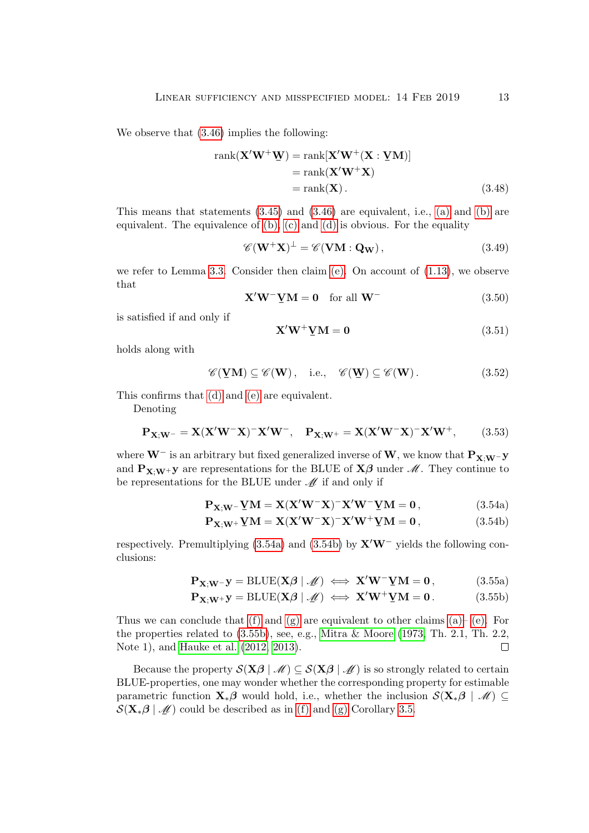We observe that [\(3.46\)](#page-11-4) implies the following:

$$
rank(\mathbf{X}'\mathbf{W}^+\mathbf{W}) = rank[\mathbf{X}'\mathbf{W}^+(\mathbf{X}:\mathbf{Y}\mathbf{M})]
$$
  
= rank(\mathbf{X}'\mathbf{W}^+\mathbf{X})  
= rank(\mathbf{X}). (3.48)

This means that statements  $(3.45)$  and  $(3.46)$  are equivalent, i.e.,  $(a)$  and  $(b)$  are equivalent. The equivalence of [\(b\),](#page-11-6) [\(c\)](#page-11-7) and [\(d\)](#page-11-8) is obvious. For the equality

$$
\mathscr{C}(\mathbf{W}^+\mathbf{X})^{\perp} = \mathscr{C}(\mathbf{V}\mathbf{M} : \mathbf{Q}_\mathbf{W}),\tag{3.49}
$$

we refer to Lemma [3.3.](#page-7-0) Consider then claim  $(e)$ . On account of  $(1.13)$ , we observe that

$$
\mathbf{X}'\mathbf{W}^-\mathbf{Y}\mathbf{M} = \mathbf{0} \quad \text{for all } \mathbf{W}^- \tag{3.50}
$$

is satisfied if and only if

<span id="page-12-0"></span>
$$
\mathbf{X}'\mathbf{W}^+\mathbf{Y}\mathbf{M} = \mathbf{0} \tag{3.51}
$$

holds along with

$$
\mathscr{C}(\mathbf{\underline{V}M}) \subseteq \mathscr{C}(\mathbf{W}), \quad \text{i.e.,} \quad \mathscr{C}(\mathbf{\underline{W}}) \subseteq \mathscr{C}(\mathbf{W}). \tag{3.52}
$$

This confirms that [\(d\)](#page-11-8) and [\(e\)](#page-11-9) are equivalent.

Denoting

<span id="page-12-3"></span>
$$
\mathbf{P}_{\mathbf{X};\mathbf{W}^{-}} = \mathbf{X}(\mathbf{X}'\mathbf{W}^{-}\mathbf{X})^{-}\mathbf{X}'\mathbf{W}^{-}, \quad \mathbf{P}_{\mathbf{X};\mathbf{W}^{+}} = \mathbf{X}(\mathbf{X}'\mathbf{W}^{-}\mathbf{X})^{-}\mathbf{X}'\mathbf{W}^{+}, \tag{3.53}
$$

where  $\mathbf{W}^-$  is an arbitrary but fixed generalized inverse of  $\mathbf{W},$  we know that  $\mathbf{P}_{\mathbf{X};\mathbf{W}^-} \mathbf{y}$ and  $P_{X;W^+}$ y are representations for the BLUE of  $X\beta$  under  $\mathcal{M}$ . They continue to be representations for the BLUE under  $\mathcal{M}$  if and only if

<span id="page-12-1"></span>
$$
\mathbf{P}_{\mathbf{X};\mathbf{W}} - \mathbf{Y}\mathbf{M} = \mathbf{X}(\mathbf{X}'\mathbf{W}^{-}\mathbf{X})^{-}\mathbf{X}'\mathbf{W}^{-}\mathbf{Y}\mathbf{M} = \mathbf{0},\tag{3.54a}
$$

<span id="page-12-2"></span>
$$
\mathbf{P}_{\mathbf{X};\mathbf{W}^+}\mathbf{V}\mathbf{M} = \mathbf{X}(\mathbf{X}'\mathbf{W}^-\mathbf{X})^-\mathbf{X}'\mathbf{W}^+\mathbf{V}\mathbf{M} = \mathbf{0},\tag{3.54b}
$$

respectively. Premultiplying [\(3.54a\)](#page-12-0) and [\(3.54b\)](#page-12-1) by  $X'W^-$  yields the following conclusions:

$$
\mathbf{P}_{\mathbf{X};\mathbf{W}}\mathbf{y} = \text{BLUE}(\mathbf{X}\boldsymbol{\beta} \mid \mathcal{M}) \iff \mathbf{X}'\mathbf{W}^{\top}\mathbf{Y}\mathbf{M} = \mathbf{0}, \tag{3.55a}
$$

$$
\mathbf{P}_{\mathbf{X};\mathbf{W}^{+}}\mathbf{y} = \text{BLUE}(\mathbf{X}\boldsymbol{\beta} \mid \mathcal{M}) \iff \mathbf{X}'\mathbf{W}^{+}\mathbf{Y}\mathbf{M} = \mathbf{0}. \tag{3.55b}
$$

Thus we can conclude that [\(f\)](#page-11-10) and [\(g\)](#page-11-11) are equivalent to other claims  $(a)$ – [\(e\).](#page-11-9) For the properties related to [\(3.55b\)](#page-12-2), see, e.g., [Mitra & Moore](#page-20-10) [\(1973,](#page-20-10) Th. 2.1, Th. 2.2, Note 1), and [Hauke et al.](#page-20-11) [\(2012,](#page-20-11) [2013\)](#page-20-12).  $\Box$ 

Because the property  $\mathcal{S}(\mathbf{X}\boldsymbol{\beta} \mid \mathscr{M}) \subseteq \mathcal{S}(\mathbf{X}\boldsymbol{\beta} \mid \mathscr{M})$  is so strongly related to certain BLUE-properties, one may wonder whether the corresponding property for estimable parametric function  $\mathbf{X}_*\boldsymbol{\beta}$  would hold, i.e., whether the inclusion  $\mathcal{S}(\mathbf{X}_*\boldsymbol{\beta} \mid \mathcal{M}) \subseteq$  $\mathcal{S}(\mathbf{X}_{*}\boldsymbol{\beta} \mid \mathcal{M})$  could be described as in [\(f\)](#page-11-10) and [\(g\)](#page-11-11) Corollary [3.5.](#page-11-1)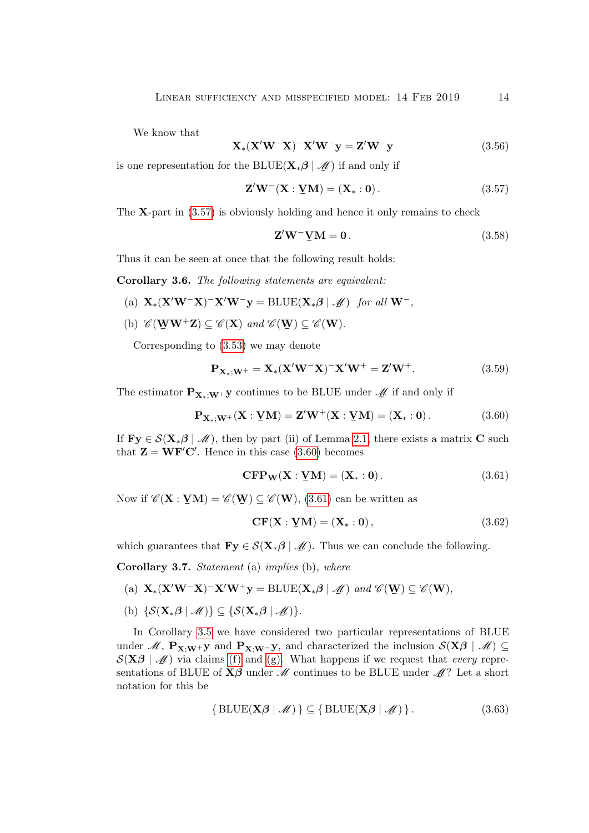We know that

$$
\mathbf{X}_{*}(\mathbf{X}'\mathbf{W}^{-}\mathbf{X})^{-}\mathbf{X}'\mathbf{W}^{-}\mathbf{y} = \mathbf{Z}'\mathbf{W}^{-}\mathbf{y}
$$
(3.56)

is one representation for the BLUE( $\mathbf{X}^* \boldsymbol{\beta} \mid \mathcal{M}$ ) if and only if

<span id="page-13-0"></span>
$$
\mathbf{Z}'\mathbf{W}^-(\mathbf{X}:\mathbf{Y}\mathbf{M})=(\mathbf{X}_*:\mathbf{0}).
$$
\n(3.57)

The  $X$ -part in  $(3.57)$  is obviously holding and hence it only remains to check

$$
\mathbf{Z}'\mathbf{W}^-\mathbf{Y}\mathbf{M} = \mathbf{0} \,. \tag{3.58}
$$

Thus it can be seen at once that the following result holds:

Corollary 3.6. The following statements are equivalent:

- (a)  $\mathbf{X}_*(\mathbf{X}'\mathbf{W}^-\mathbf{X})^-\mathbf{X}'\mathbf{W}^-\mathbf{y} = \text{BLUE}(\mathbf{X}_*\boldsymbol{\beta} \mid \mathcal{M})$  for all  $\mathbf{W}^-,$
- (b)  $\mathscr{C}(\mathbf{W}\mathbf{W}^+\mathbf{Z}) \subseteq \mathscr{C}(\mathbf{X})$  and  $\mathscr{C}(\mathbf{W}) \subseteq \mathscr{C}(\mathbf{W})$ .

Corresponding to [\(3.53\)](#page-12-3) we may denote

$$
\mathbf{P}_{\mathbf{X}_{*};\mathbf{W}^{+}} = \mathbf{X}_{*}(\mathbf{X}'\mathbf{W}^{-}\mathbf{X})^{-}\mathbf{X}'\mathbf{W}^{+} = \mathbf{Z}'\mathbf{W}^{+}.
$$
 (3.59)

The estimator  $\mathbf{P}_{\mathbf{X}_{*};\mathbf{W}^{+}}\mathbf{y}$  continues to be BLUE under  $\mathcal{M}$  if and only if

<span id="page-13-1"></span>
$$
P_{X_*;W^+}(X:\underline{V}M) = Z'W^+(X:\underline{V}M) = (X_*:0).
$$
 (3.60)

If  $\mathbf{Fy} \in \mathcal{S}(\mathbf{X}_{*}\boldsymbol{\beta} \mid \mathcal{M})$ , then by part (ii) of Lemma [2.1,](#page-4-0) there exists a matrix C such that  $\mathbf{Z} = \mathbf{W} \mathbf{F}' \mathbf{C}'$ . Hence in this case [\(3.60\)](#page-13-1) becomes

<span id="page-13-2"></span>
$$
\mathbf{CFP_W}(\mathbf{X} : \mathbf{YM}) = (\mathbf{X}_* : \mathbf{0}).
$$
\n(3.61)

Now if  $\mathscr{C}(\mathbf{X} : \mathbf{YM}) = \mathscr{C}(\mathbf{W}) \subseteq \mathscr{C}(\mathbf{W})$ , [\(3.61\)](#page-13-2) can be written as

$$
\mathbf{CF}(\mathbf{X} : \mathbf{YM}) = (\mathbf{X}_* : \mathbf{0}), \tag{3.62}
$$

which guarantees that  $\mathbf{Fy} \in \mathcal{S}(\mathbf{X}, \boldsymbol{\beta} \mid \mathcal{M})$ . Thus we can conclude the following.

Corollary 3.7. Statement (a) implies (b), where

- (a)  $\mathbf{X}_*(\mathbf{X}'\mathbf{W}^-\mathbf{X})^-\mathbf{X}'\mathbf{W}^+\mathbf{y} = \text{BLUE}(\mathbf{X}_*\boldsymbol{\beta} \mid \mathcal{M})$  and  $\mathcal{C}(\mathbf{W}) \subseteq \mathcal{C}(\mathbf{W}),$
- (b)  $\{S(\mathbf{X}, \boldsymbol{\beta} | \mathcal{M})\} \subseteq \{S(\mathbf{X}, \boldsymbol{\beta} | \mathcal{M})\}.$

In Corollary [3.5](#page-11-1) we have considered two particular representations of BLUE under M,  $P_{X:W^+}$ y and  $P_{X:W^-}$ y, and characterized the inclusion  $\mathcal{S}(X\beta \mid M) \subseteq$  $\mathcal{S}(\mathbf{X}\boldsymbol{\beta} \mid \mathcal{M})$  via claims [\(f\)](#page-11-10) and [\(g\).](#page-11-11) What happens if we request that every representations of BLUE of  $\mathbf{X}\boldsymbol{\beta}$  under  $\mathcal{M}$  continues to be BLUE under  $\mathcal{M}$ ? Let a short notation for this be

<span id="page-13-3"></span>
$$
\{ \text{BLUE}(\mathbf{X}\boldsymbol{\beta} \mid \mathcal{M}) \} \subseteq \{ \text{BLUE}(\mathbf{X}\boldsymbol{\beta} \mid \mathcal{M}) \}.
$$
 (3.63)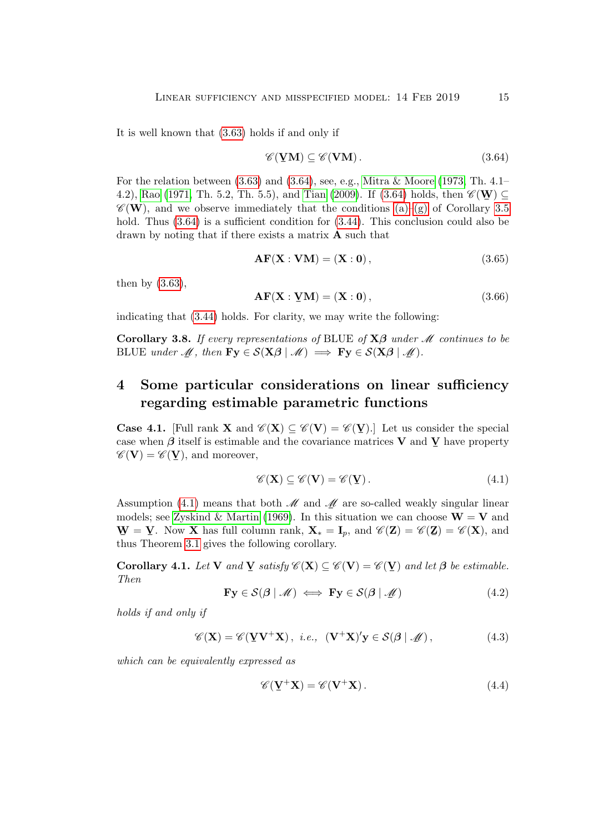It is well known that [\(3.63\)](#page-13-3) holds if and only if

<span id="page-14-1"></span>
$$
\mathscr{C}(\mathbf{YM}) \subseteq \mathscr{C}(\mathbf{VM}). \tag{3.64}
$$

For the relation between [\(3.63\)](#page-13-3) and [\(3.64\)](#page-14-1), see, e.g., [Mitra & Moore](#page-20-10) [\(1973,](#page-20-10) Th. 4.1– 4.2), [Rao](#page-20-13) [\(1971,](#page-20-13) Th. 5.2, Th. 5.5), and [Tian](#page-21-4) [\(2009\)](#page-21-4). If [\(3.64\)](#page-14-1) holds, then  $\mathscr{C}(\mathbf{W}) \subseteq$  $\mathscr{C}(\mathbf{W})$ , and we observe immediately that the conditions [\(a\)–](#page-11-3)[\(g\)](#page-11-11) of Corollary [3.5](#page-11-1) hold. Thus  $(3.64)$  is a sufficient condition for  $(3.44)$ . This conclusion could also be drawn by noting that if there exists a matrix A such that

$$
\mathbf{AF}(\mathbf{X} : \mathbf{VM}) = (\mathbf{X} : \mathbf{0}), \tag{3.65}
$$

then by [\(3.63\)](#page-13-3),

$$
\mathbf{AF}(\mathbf{X} : \mathbf{YM}) = (\mathbf{X} : \mathbf{0}), \tag{3.66}
$$

indicating that [\(3.44\)](#page-11-2) holds. For clarity, we may write the following:

Corollary 3.8. If every representations of BLUE of  $X\beta$  under M continues to be BLUE under  $M$ , then  $\mathbf{Fy} \in \mathcal{S}(\mathbf{X}\boldsymbol{\beta} \mid \mathcal{M}) \implies \mathbf{Fy} \in \mathcal{S}(\mathbf{X}\boldsymbol{\beta} \mid \mathcal{M}).$ 

## <span id="page-14-0"></span>4 Some particular considerations on linear sufficiency regarding estimable parametric functions

**Case 4.1.** [Full rank **X** and  $\mathscr{C}(\mathbf{X}) \subseteq \mathscr{C}(\mathbf{V}) = \mathscr{C}(\mathbf{V})$ .] Let us consider the special case when  $\beta$  itself is estimable and the covariance matrices **V** and **V** have property  $\mathscr{L}(\mathbf{V}) = \mathscr{L}(\mathbf{V})$  and moreover  $\mathscr{C}(\mathbf{V}) = \mathscr{C}(\mathbf{V})$ , and moreover,

<span id="page-14-2"></span>
$$
\mathscr{C}(\mathbf{X}) \subseteq \mathscr{C}(\mathbf{V}) = \mathscr{C}(\mathbf{Y}). \tag{4.1}
$$

Assumption [\(4.1\)](#page-14-2) means that both  $\mathcal M$  and  $\mathcal M$  are so-called weakly singular linear models; see [Zyskind & Martin](#page-21-5) [\(1969\)](#page-21-5). In this situation we can choose  $W = V$  and  $\frac{1}{2}$ . Then 11 has run corollary rain,  $\frac{1}{2}$  thus Theorem [3.1](#page-7-3) gives the following corollary.  $\Psi = \underline{V}$ . Now **X** has full column rank,  $X_* = I_p$ , and  $\mathscr{C}(Z) = \mathscr{C}(Z) = \mathscr{C}(X)$ , and thus Theorem 3.1 since the following conclusive

<span id="page-14-3"></span>**Corollary 4.1.** Let **V** and **V** satisfy  $\mathscr{C}(\mathbf{X}) \subseteq \mathscr{C}(\mathbf{V}) = \mathscr{C}(\mathbf{V})$  and let  $\boldsymbol{\beta}$  be estimable.<br>Then Then

$$
\mathbf{Fy} \in \mathcal{S}(\mathcal{B} \mid \mathcal{M}) \iff \mathbf{Fy} \in \mathcal{S}(\mathcal{B} \mid \mathcal{M}) \tag{4.2}
$$

holds if and only if

$$
\mathscr{C}(\mathbf{X}) = \mathscr{C}(\mathbf{Y}\mathbf{V}^+\mathbf{X}), \ i.e., \ (\mathbf{V}^+\mathbf{X})'\mathbf{y} \in \mathcal{S}(\mathcal{B} \mid \mathcal{M}), \tag{4.3}
$$

which can be equivalently expressed as

$$
\mathscr{C}(\mathbf{V}^+\mathbf{X}) = \mathscr{C}(\mathbf{V}^+\mathbf{X}).\tag{4.4}
$$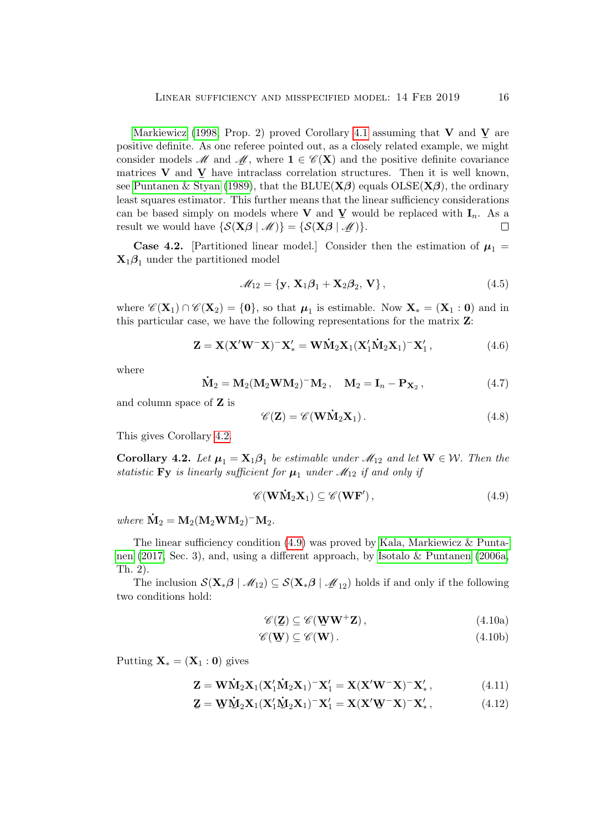[Markiewicz](#page-20-14) [\(1998,](#page-20-14) Prop. 2) proved Corollary [4.1](#page-14-3) assuming that V and  $\underline{V}$  are positive definite. As one referee pointed out, as a closely related example, we might consider models  $\mathcal M$  and  $\mathcal M$ , where  $\mathbf 1 \in \mathscr C(\mathbf X)$  and the positive definite covariance matrices  $V$  and  $\overline{V}$  have intraclass correlation structures. Then it is well known, see [Puntanen & Styan](#page-20-15) [\(1989\)](#page-20-15), that the BLUE( $X\beta$ ) equals  $O(\text{S}\text{E}(X\beta))$ , the ordinary least squares estimator. This further means that the linear sufficiency considerations can be based simply on models where **V** and **V** would be replaced with  $I_n$ . As a result we would have  $\{S(\mathbf{X}\boldsymbol{\beta} | \mathcal{M})\} = \{S(\mathbf{X}\boldsymbol{\beta} | \mathcal{M})\}.$  $\Box$ 

**Case 4.2.** [Partitioned linear model.] Consider then the estimation of  $\mu_1$  =  $\mathbf{X}_1 \boldsymbol{\beta}_1$  under the partitioned model

$$
\mathcal{M}_{12} = \{ \mathbf{y}, \mathbf{X}_1 \boldsymbol{\beta}_1 + \mathbf{X}_2 \boldsymbol{\beta}_2, \mathbf{V} \},\tag{4.5}
$$

where  $\mathscr{C}(\mathbf{X}_1) \cap \mathscr{C}(\mathbf{X}_2) = \{\mathbf{0}\}\$ , so that  $\boldsymbol{\mu}_1$  is estimable. Now  $\mathbf{X}_* = (\mathbf{X}_1 : \mathbf{0})$  and in this particular case, we have the following representations for the matrix Z:

$$
\mathbf{Z} = \mathbf{X} (\mathbf{X}' \mathbf{W}^- \mathbf{X})^- \mathbf{X}'_* = \mathbf{W} \dot{\mathbf{M}}_2 \mathbf{X}_1 (\mathbf{X}'_1 \dot{\mathbf{M}}_2 \mathbf{X}_1)^- \mathbf{X}'_1, \tag{4.6}
$$

where

$$
\dot{\mathbf{M}}_2 = \mathbf{M}_2 (\mathbf{M}_2 \mathbf{W} \mathbf{M}_2)^{-1} \mathbf{M}_2, \quad \mathbf{M}_2 = \mathbf{I}_n - \mathbf{P}_{\mathbf{X}_2}, \tag{4.7}
$$

and column space of Z is

$$
\mathscr{C}(\mathbf{Z}) = \mathscr{C}(\mathbf{W}\dot{\mathbf{M}}_2\mathbf{X}_1). \tag{4.8}
$$

This gives Corollary [4.2.](#page-15-0)

<span id="page-15-0"></span>**Corollary 4.2.** Let  $\mu_1 = \mathbf{X}_1 \boldsymbol{\beta}_1$  be estimable under  $\mathcal{M}_{12}$  and let  $\mathbf{W} \in \mathcal{W}$ . Then the statistic Fy is linearly sufficient for  $\mu_1$  under  $\mathcal{M}_{12}$  if and only if

<span id="page-15-1"></span>
$$
\mathscr{C}(\mathbf{W}\dot{\mathbf{M}}_2\mathbf{X}_1) \subseteq \mathscr{C}(\mathbf{W}\mathbf{F}'),\tag{4.9}
$$

where  $\dot{M}_2 = M_2 (M_2 W M_2)^{-} M_2$ .

The linear sufficiency condition [\(4.9\)](#page-15-1) was proved by [Kala, Markiewicz & Punta](#page-20-16)[nen](#page-20-16) [\(2017,](#page-20-16) Sec. 3), and, using a different approach, by [Isotalo & Puntanen](#page-20-17) [\(2006a,](#page-20-17) Th. 2).

The inclusion  $\mathcal{S}(\mathbf{X}_{*}\boldsymbol{\beta} | \mathcal{M}_{12}) \subseteq \mathcal{S}(\mathbf{X}_{*}\boldsymbol{\beta} | \mathcal{M}_{12})$  holds if and only if the following conditions hold: two conditions hold:

<span id="page-15-3"></span><span id="page-15-2"></span>
$$
\mathscr{C}(\mathbf{Z}) \subseteq \mathscr{C}(\mathbf{W}\mathbf{W}^+\mathbf{Z}),\tag{4.10a}
$$

$$
\mathscr{C}(\mathbf{\underline{W}}) \subseteq \mathscr{C}(\mathbf{W}). \tag{4.10b}
$$

Putting  $\mathbf{X}_{*} = (\mathbf{X}_{1} : \mathbf{0})$  gives

$$
\mathbf{Z} = \mathbf{W}\dot{\mathbf{M}}_2\mathbf{X}_1(\mathbf{X}_1'\dot{\mathbf{M}}_2\mathbf{X}_1)^{-1}\mathbf{X}_1' = \mathbf{X}(\mathbf{X}'\mathbf{W}^{-1}\mathbf{X})^{-1}\mathbf{X}_*',
$$
\n(4.11)

$$
\mathbf{Z} = \mathbf{W}\dot{\mathbf{M}}_2\mathbf{X}_1(\mathbf{X}_1'\dot{\mathbf{M}}_2\mathbf{X}_1)^{-}\mathbf{X}_1' = \mathbf{X}(\mathbf{X}'\mathbf{W}^{-}\mathbf{X})^{-}\mathbf{X}_*',
$$
\n(4.12)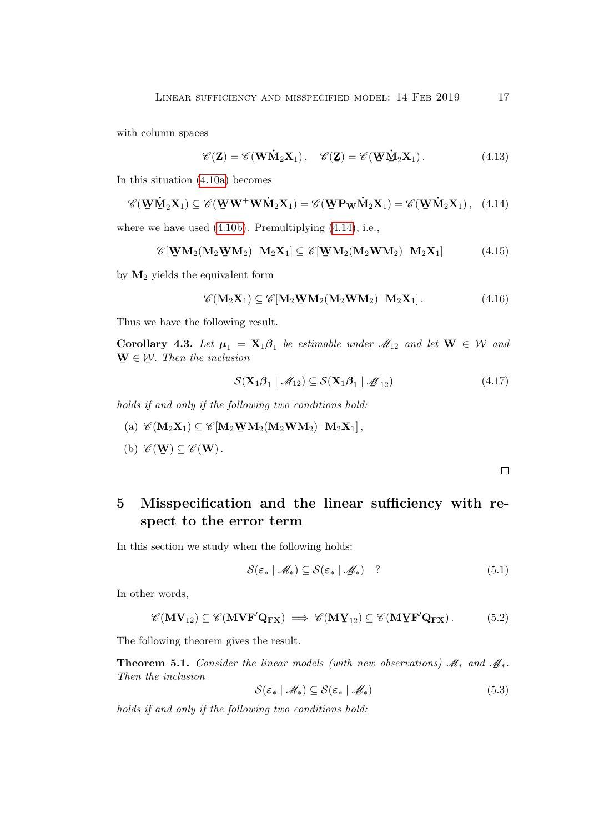with column spaces

$$
\mathscr{C}(\mathbf{Z}) = \mathscr{C}(\mathbf{W}\dot{\mathbf{M}}_2\mathbf{X}_1), \quad \mathscr{C}(\mathbf{Z}) = \mathscr{C}(\mathbf{W}\dot{\mathbf{M}}_2\mathbf{X}_1).
$$
 (4.13)

In this situation [\(4.10a\)](#page-15-2) becomes

<span id="page-16-1"></span>
$$
\mathscr{C}(\underline{\mathbf{W}}\underline{\dot{\mathbf{M}}}_2\mathbf{X}_1) \subseteq \mathscr{C}(\underline{\mathbf{W}}\mathbf{W}^+\mathbf{W}\dot{\mathbf{M}}_2\mathbf{X}_1) = \mathscr{C}(\underline{\mathbf{W}}\mathbf{P}_{\mathbf{W}}\dot{\mathbf{M}}_2\mathbf{X}_1) = \mathscr{C}(\underline{\mathbf{W}}\dot{\mathbf{M}}_2\mathbf{X}_1), \quad (4.14)
$$

where we have used [\(4.10b\)](#page-15-3). Premultiplying [\(4.14\)](#page-16-1), i.e.,

$$
\mathscr{C}[\mathbf{W}\mathbf{M}_2(\mathbf{M}_2\mathbf{W}\mathbf{M}_2)^{-1}\mathbf{M}_2\mathbf{X}_1] \subseteq \mathscr{C}[\mathbf{W}\mathbf{M}_2(\mathbf{M}_2\mathbf{W}\mathbf{M}_2)^{-1}\mathbf{M}_2\mathbf{X}_1]
$$
(4.15)

by  $M_2$  yields the equivalent form

$$
\mathscr{C}(\mathbf{M}_2\mathbf{X}_1) \subseteq \mathscr{C}[\mathbf{M}_2\mathbf{W}\mathbf{M}_2(\mathbf{M}_2\mathbf{W}\mathbf{M}_2)^{-1}\mathbf{M}_2\mathbf{X}_1].
$$
\n(4.16)

Thus we have the following result.

**Corollary 4.3.** Let  $\mu_1 = \mathbf{X}_1 \boldsymbol{\beta}_1$  be estimable under  $\mathcal{M}_{12}$  and let  $\mathbf{W} \in \mathcal{W}$  and  $\Psi \in \mathcal{W}$ . Then the inclusion

$$
\mathcal{S}(\mathbf{X}_1 \boldsymbol{\beta}_1 \mid \mathcal{M}_{12}) \subseteq \mathcal{S}(\mathbf{X}_1 \boldsymbol{\beta}_1 \mid \mathcal{M}_{12})
$$
\n(4.17)

holds if and only if the following two conditions hold:

- (a)  $\mathscr{C}(\mathbf{M}_2 \mathbf{X}_1) \subseteq \mathscr{C}[\mathbf{M}_2 \mathbf{W} \mathbf{M}_2 (\mathbf{M}_2 \mathbf{W} \mathbf{M}_2)^{-} \mathbf{M}_2 \mathbf{X}_1],$
- (b)  $\mathscr{C}(\mathbf{W}) \subseteq \mathscr{C}(\mathbf{W})$ .

 $\Box$ 

# <span id="page-16-0"></span>5 Misspecification and the linear sufficiency with respect to the error term

In this section we study when the following holds:

$$
S(\varepsilon_* \mid \mathcal{M}_*) \subseteq S(\varepsilon_* \mid \mathcal{M}_*) \quad ? \tag{5.1}
$$

In other words,

$$
\mathscr{C}(\mathbf{MV}_{12}) \subseteq \mathscr{C}(\mathbf{MVF}'\mathbf{Q}_{\mathbf{FX}}) \implies \mathscr{C}(\mathbf{M}\mathbf{Y}_{12}) \subseteq \mathscr{C}(\mathbf{M}\mathbf{Y}\mathbf{F}'\mathbf{Q}_{\mathbf{FX}}).
$$
(5.2)

The following theorem gives the result.

**Theorem 5.1.** Consider the linear models (with new observations)  $\mathcal{M}_*$  and  $\underline{\mathcal{M}}_*$ .<br>Then the inclusion Then the inclusion

$$
S(\varepsilon_* \mid \mathcal{M}_*) \subseteq S(\varepsilon_* \mid \mathcal{M}_*)
$$
\n(5.3)

holds if and only if the following two conditions hold: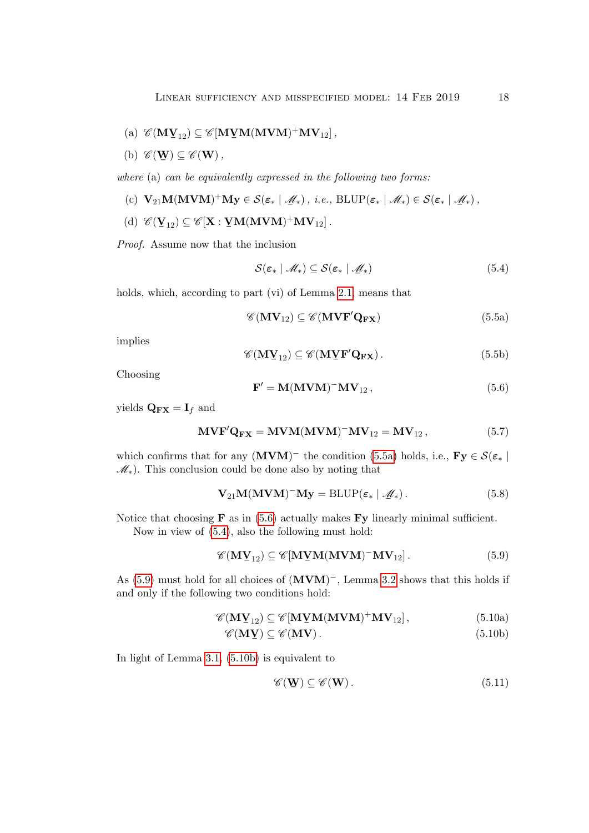- (a)  $\mathscr{C}(\mathbf{M} \mathbf{Y}_{12}) \subseteq \mathscr{C}[\mathbf{M}\mathbf{Y} \mathbf{M}(\mathbf{M} \mathbf{V} \mathbf{M})^+ \mathbf{M} \mathbf{V}_{12}]$ ,
- <span id="page-17-6"></span>(b)  $\mathscr{C}(\mathbf{W}) \subseteq \mathscr{C}(\mathbf{W}),$

where (a) can be equivalently expressed in the following two forms:

- (c)  $\mathbf{V}_{21}\mathbf{M}(\mathbf{M}\mathbf{V}\mathbf{M})^+\mathbf{M}\mathbf{y} \in \mathcal{S}(\varepsilon_* | \mathcal{M}_*), i.e., \text{BLUP}(\varepsilon_* | \mathcal{M}_*) \in \mathcal{S}(\varepsilon_* | \mathcal{M}_*),$
- (d)  $\mathscr{C}(\mathbf{Y}_{12}) \subseteq \mathscr{C}[\mathbf{X} : \mathbf{YM}(\mathbf{MVM})^+\mathbf{MV}_{12}]$ .

Proof. Assume now that the inclusion

<span id="page-17-2"></span>
$$
\mathcal{S}(\varepsilon_* \mid \mathcal{M}_*) \subseteq \mathcal{S}(\varepsilon_* \mid \mathcal{M}_*)
$$
\n(5.4)

holds, which, according to part (vi) of Lemma [2.1,](#page-4-0) means that

<span id="page-17-0"></span>
$$
\mathscr{C}(\mathbf{MV}_{12}) \subseteq \mathscr{C}(\mathbf{MVF'Q_{FX}}) \tag{5.5a}
$$

implies

$$
\mathscr{C}(\mathbf{M}\mathbf{Y}_{12}) \subseteq \mathscr{C}(\mathbf{M}\mathbf{Y}\mathbf{F}'\mathbf{Q}_{\mathbf{FX}}). \tag{5.5b}
$$

Choosing

<span id="page-17-1"></span>
$$
\mathbf{F}' = \mathbf{M}(\mathbf{M}\mathbf{V}\mathbf{M})^{-} \mathbf{M}\mathbf{V}_{12}, \qquad (5.6)
$$

yields  $\mathbf{Q}_{\mathbf{FX}} = \mathbf{I}_f$  and

$$
\mathbf{MVF}'\mathbf{Q}_{\mathbf{FX}} = \mathbf{MVM}(\mathbf{MVM})^{-}\mathbf{MV}_{12} = \mathbf{MV}_{12},
$$
\n(5.7)

which confirms that for any  $(MVM)^-$  the condition [\(5.5a\)](#page-17-0) holds, i.e.,  $\mathbf{Fy} \in \mathcal{S}(\varepsilon_*)$  $\mathscr{M}_*$ ). This conclusion could be done also by noting that

$$
\mathbf{V}_{21}\mathbf{M}(\mathbf{M}\mathbf{V}\mathbf{M})^-\mathbf{M}\mathbf{y} = \text{BLUP}(\varepsilon_* \mid \mathscr{M}_*).
$$
 (5.8)

Notice that choosing  $\bf{F}$  as in [\(5.6\)](#page-17-1) actually makes  $\bf{Fy}$  linearly minimal sufficient. Now in view of [\(5.4\)](#page-17-2), also the following must hold:

<span id="page-17-3"></span>
$$
\mathscr{C}(\mathbf{M}\mathbf{Y}_{12}) \subseteq \mathscr{C}[\mathbf{M}\mathbf{Y}\mathbf{M}(\mathbf{M}\mathbf{V}\mathbf{M})^-\mathbf{M}\mathbf{V}_{12}].
$$
 (5.9)

As [\(5.9\)](#page-17-3) must hold for all choices of  $(MVM)^-$ , Lemma [3.2](#page-6-2) shows that this holds if and only if the following two conditions hold:

$$
\mathscr{C}(\mathbf{M}\mathbf{V}_{12}) \subseteq \mathscr{C}[\mathbf{M}\mathbf{Y}\mathbf{M}(\mathbf{M}\mathbf{V}\mathbf{M})^{+}\mathbf{M}\mathbf{V}_{12}], \qquad (5.10a)
$$

$$
\mathscr{C}(\mathbf{M}\mathbf{V}) \subseteq \mathscr{C}(\mathbf{M}\mathbf{V}). \tag{5.10b}
$$

In light of Lemma [3.1,](#page-6-3) [\(5.10b\)](#page-17-4) is equivalent to

<span id="page-17-5"></span><span id="page-17-4"></span>
$$
\mathscr{C}(\mathbf{W}) \subseteq \mathscr{C}(\mathbf{W}).\tag{5.11}
$$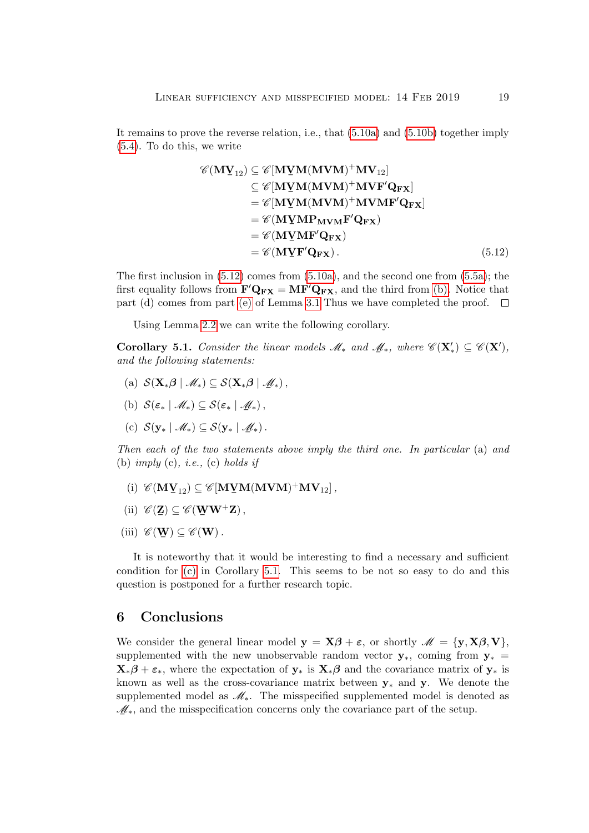It remains to prove the reverse relation, i.e., that [\(5.10a\)](#page-17-5) and [\(5.10b\)](#page-17-4) together imply [\(5.4\)](#page-17-2). To do this, we write

<span id="page-18-0"></span>
$$
\mathscr{C}(\mathbf{M}\mathbf{Y}_{12}) \subseteq \mathscr{C}[\mathbf{M}\mathbf{Y}\mathbf{M}(\mathbf{M}\mathbf{V}\mathbf{M})^{+}\mathbf{M}\mathbf{V}_{12}]
$$
  
\n
$$
\subseteq \mathscr{C}[\mathbf{M}\mathbf{Y}\mathbf{M}(\mathbf{M}\mathbf{V}\mathbf{M})^{+}\mathbf{M}\mathbf{V}\mathbf{F}'\mathbf{Q}_{\mathbf{F}\mathbf{X}}]
$$
  
\n
$$
= \mathscr{C}[\mathbf{M}\mathbf{Y}\mathbf{M}(\mathbf{M}\mathbf{V}\mathbf{M})^{+}\mathbf{M}\mathbf{V}\mathbf{M}\mathbf{F}'\mathbf{Q}_{\mathbf{F}\mathbf{X}}]
$$
  
\n
$$
= \mathscr{C}(\mathbf{M}\mathbf{Y}\mathbf{M}\mathbf{F}'\mathbf{Q}_{\mathbf{F}\mathbf{X}})
$$
  
\n
$$
= \mathscr{C}(\mathbf{M}\mathbf{Y}\mathbf{M}\mathbf{F}'\mathbf{Q}_{\mathbf{F}\mathbf{X}})
$$
  
\n
$$
= \mathscr{C}(\mathbf{M}\mathbf{Y}\mathbf{F}'\mathbf{Q}_{\mathbf{F}\mathbf{X}}).
$$
  
\n(5.12)

The first inclusion in  $(5.12)$  comes from  $(5.10a)$ , and the second one from  $(5.5a)$ ; the first equality follows from  $\mathbf{F}'\mathbf{Q}_{\mathbf{FX}} = \mathbf{MF}'\mathbf{Q}_{\mathbf{FX}}$ , and the third from [\(b\).](#page-17-6) Notice that part (d) comes from part [\(e\)](#page-6-4) of Lemma [3.1](#page-6-3) Thus we have completed the proof.  $\Box$ 

Using Lemma [2.2](#page-5-4) we can write the following corollary.

<span id="page-18-2"></span>**Corollary 5.1.** Consider the linear models  $\mathcal{M}_*$  and  $\mathcal{M}_*$ , where  $\mathcal{C}(\mathbf{X}') \subseteq \mathcal{C}(\mathbf{X}')$ , and the following statements: and the following statements:

- (a)  $S(\mathbf{X}_{*}\boldsymbol{\beta} | \mathcal{M}_{*}) \subseteq S(\mathbf{X}_{*}\boldsymbol{\beta} | \mathcal{M}_{*}),$
- (b)  $S(\varepsilon_* | \mathcal{M}_*) \subseteq S(\varepsilon_* | \mathcal{M}_*),$
- <span id="page-18-1"></span>(c)  $S(\mathbf{y}_{*} | \mathcal{M}_{*}) \subseteq S(\mathbf{y}_{*} | \mathcal{M}_{*}).$

Then each of the two statements above imply the third one. In particular (a) and (b) imply (c), *i.e.*, (c) holds if

- (i)  $\mathscr{C}(\mathbf{M} \mathbf{V}_{12}) \subseteq \mathscr{C}[\mathbf{M}\mathbf{V} \mathbf{M}(\mathbf{M} \mathbf{V} \mathbf{M})^+ \mathbf{M} \mathbf{V}_{12}]$ ,
- (ii)  $\mathscr{C}(\mathbf{Z}) \subseteq \mathscr{C}(\mathbf{W}\mathbf{W}^{+}\mathbf{Z}),$
- (iii)  $\mathscr{C}(\mathbf{W}) \subseteq \mathscr{C}(\mathbf{W})$ .

It is noteworthy that it would be interesting to find a necessary and sufficient condition for [\(c\)](#page-18-1) in Corollary [5.1.](#page-18-2) This seems to be not so easy to do and this question is postponed for a further research topic.

### 6 Conclusions

We consider the general linear model  $y = X\beta + \varepsilon$ , or shortly  $\mathscr{M} = \{y, X\beta, V\}$ , supplemented with the new unobservable random vector  $y_*$ , coming from  $y_*$  $\mathbf{X}_*\boldsymbol{\beta} + \boldsymbol{\varepsilon}_*,$  where the expectation of  $\mathbf{y}_*$  is  $\mathbf{X}_*\boldsymbol{\beta}$  and the covariance matrix of  $\mathbf{y}_*$  is known as well as the cross-covariance matrix between  $y_*$  and y. We denote the supplemented model as  $\mathcal{M}_*$ . The misspecified supplemented model is denoted as  $M_*$ , and the misspecification concerns only the covariance part of the setup.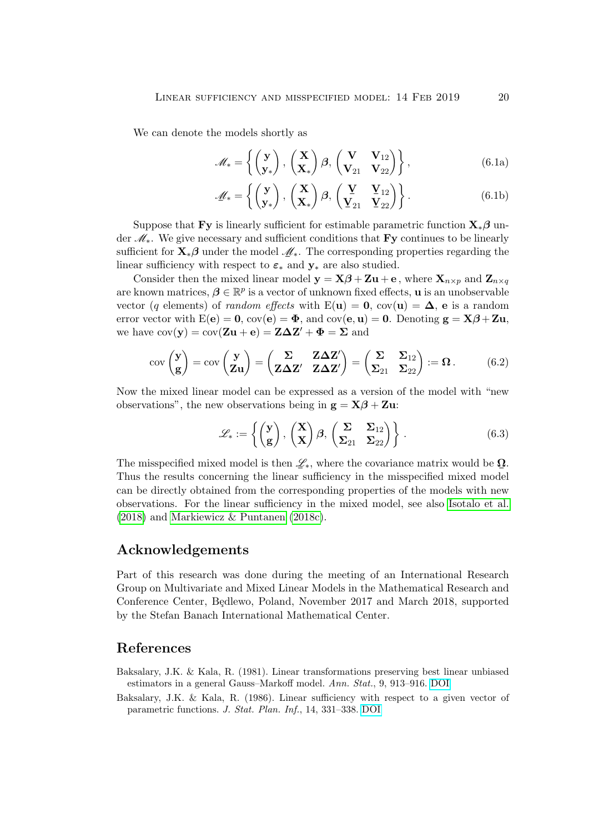We can denote the models shortly as

$$
\mathscr{M}_* = \left\{ \begin{pmatrix} \mathbf{y} \\ \mathbf{y}_* \end{pmatrix}, \begin{pmatrix} \mathbf{X} \\ \mathbf{X}_* \end{pmatrix} \boldsymbol{\beta}, \begin{pmatrix} \mathbf{V} & \mathbf{V}_{12} \\ \mathbf{V}_{21} & \mathbf{V}_{22} \end{pmatrix} \right\},
$$
(6.1a)

$$
\mathscr{M}_* = \left\{ \begin{pmatrix} \mathbf{y} \\ \mathbf{y}_* \end{pmatrix}, \begin{pmatrix} \mathbf{X} \\ \mathbf{X}_* \end{pmatrix} \boldsymbol{\beta}, \begin{pmatrix} \mathbf{Y} & \mathbf{V}_{12} \\ \mathbf{V}_{21} & \mathbf{V}_{22} \end{pmatrix} \right\}.
$$
 (6.1b)

Suppose that Fy is linearly sufficient for estimable parametric function  $\mathbf{X}_{*} \boldsymbol{\beta}$  under M∗. We give necessary and sufficient conditions that Fy continues to be linearly sufficient for  $\mathbf{X}_*\boldsymbol{\beta}$  under the model  $\mathcal{M}_*$ . The corresponding properties regarding the linear sufficiency with respect to  $\varepsilon_*$  and  $y_*$  are also studied.

Consider then the mixed linear model  $y = X\beta + Zu + e$ , where  $X_{n\times p}$  and  $Z_{n\times q}$ are known matrices,  $\boldsymbol{\beta} \in \mathbb{R}^p$  is a vector of unknown fixed effects, **u** is an unobservable vector (q elements) of *random effects* with  $E(\mathbf{u}) = \mathbf{0}$ ,  $cov(\mathbf{u}) = \mathbf{\Delta}$ , e is a random error vector with  $E(e) = 0$ ,  $cov(e) = \Phi$ , and  $cov(e, u) = 0$ . Denoting  $g = X\beta + Zu$ , we have  $cov(y) = cov(Zu + e) = Z\Delta Z' + \Phi = \Sigma$  and

$$
cov\begin{pmatrix} \mathbf{y} \\ \mathbf{g} \end{pmatrix} = cov\begin{pmatrix} \mathbf{y} \\ \mathbf{Z} \mathbf{u} \end{pmatrix} = \begin{pmatrix} \Sigma & \mathbf{Z} \Delta \mathbf{Z}' \\ \mathbf{Z} \Delta \mathbf{Z}' & \mathbf{Z} \Delta \mathbf{Z}' \end{pmatrix} = \begin{pmatrix} \Sigma & \Sigma_{12} \\ \Sigma_{21} & \Sigma_{22} \end{pmatrix} := \mathbf{\Omega}.
$$
 (6.2)

Now the mixed linear model can be expressed as a version of the model with "new observations", the new observations being in  $g = X\beta + Zu$ :

$$
\mathscr{L}_{*} := \left\{ \begin{pmatrix} \mathbf{y} \\ \mathbf{g} \end{pmatrix}, \begin{pmatrix} \mathbf{X} \\ \mathbf{X} \end{pmatrix} \boldsymbol{\beta}, \begin{pmatrix} \boldsymbol{\Sigma} & \boldsymbol{\Sigma}_{12} \\ \boldsymbol{\Sigma}_{21} & \boldsymbol{\Sigma}_{22} \end{pmatrix} \right\}.
$$
 (6.3)

The misspecified mixed model is then  $\mathscr{L}_*,$  where the covariance matrix would be  $\Omega$ . Thus the results concerning the linear sufficiency in the misspecified mixed model can be directly obtained from the corresponding properties of the models with new observations. For the linear sufficiency in the mixed model, see also [Isotalo et al.](#page-20-7) [\(2018\)](#page-20-7) and [Markiewicz & Puntanen](#page-20-18) [\(2018c\)](#page-20-18).

### Acknowledgements

Part of this research was done during the meeting of an International Research Group on Multivariate and Mixed Linear Models in the Mathematical Research and Conference Center, Bedlewo, Poland, November 2017 and March 2018, supported by the Stefan Banach International Mathematical Center.

### References

- <span id="page-19-0"></span>Baksalary, J.K. & Kala, R. (1981). Linear transformations preserving best linear unbiased estimators in a general Gauss–Markoff model. Ann. Stat., 9, 913–916. [DOI](http://dx.doi.org/10.1214/aos/1176345533)
- <span id="page-19-1"></span>Baksalary, J.K. & Kala, R. (1986). Linear sufficiency with respect to a given vector of parametric functions. J. Stat. Plan. Inf., 14, 331–338. [DOI](http://dx.doi.org/10.1016/0378-3758(86)90171-0)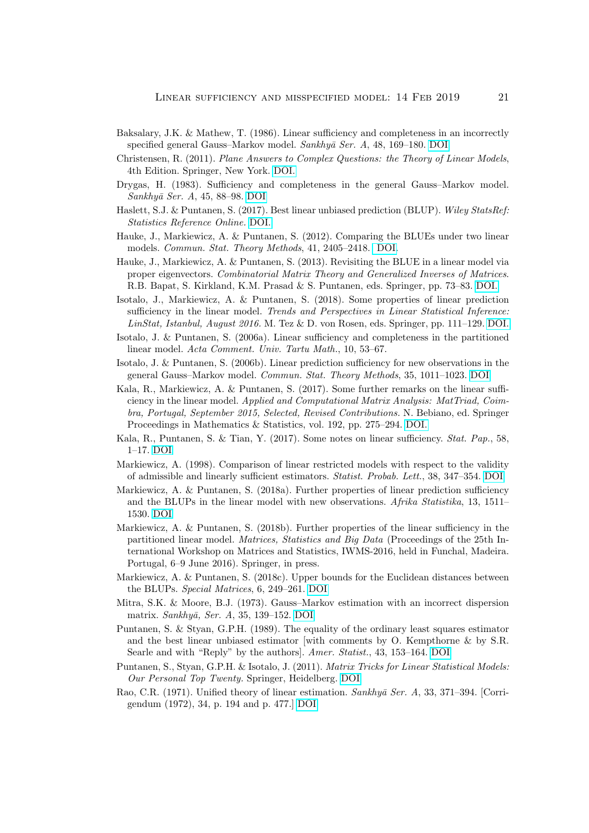- <span id="page-20-4"></span>Baksalary, J.K. & Mathew, T. (1986). Linear sufficiency and completeness in an incorrectly specified general Gauss-Markov model. Sankhyā Ser. A, 48, 169-180. [DOI](http://www.jstor.org/stable/25050586)
- <span id="page-20-0"></span>Christensen, R. (2011). Plane Answers to Complex Questions: the Theory of Linear Models, 4th Edition. Springer, New York. [DOI.](http://dx.doi.org/10.1007/978-1-4419-9816-3)
- <span id="page-20-5"></span>Drygas, H. (1983). Sufficiency and completeness in the general Gauss–Markov model. Sankhyā Ser. A, 45, 88–98. [DOI](http://www.jstor.org/stable/25050416)
- <span id="page-20-2"></span>Haslett, S.J. & Puntanen, S. (2017). Best linear unbiased prediction (BLUP). Wiley StatsRef: Statistics Reference Online. [DOI.](http://dx.doi.org/10.1002/9781118445112.stat08120)
- <span id="page-20-11"></span>Hauke, J., Markiewicz, A. & Puntanen, S. (2012). Comparing the BLUEs under two linear models. Commun. Stat. Theory Methods, 41, 2405–2418. [DOI.](http://dx.doi.org/10.1080/03610926.2011.594541)
- <span id="page-20-12"></span>Hauke, J., Markiewicz, A. & Puntanen, S. (2013). Revisiting the BLUE in a linear model via proper eigenvectors. Combinatorial Matrix Theory and Generalized Inverses of Matrices. R.B. Bapat, S. Kirkland, K.M. Prasad & S. Puntanen, eds. Springer, pp. 73–83. [DOI.](http://dx.doi.org/10.1007/978-81-322-1053-5_7)
- <span id="page-20-7"></span>Isotalo, J., Markiewicz, A. & Puntanen, S. (2018). Some properties of linear prediction sufficiency in the linear model. Trends and Perspectives in Linear Statistical Inference: LinStat, Istanbul, August 2016. M. Tez & D. von Rosen, eds. Springer, pp. 111–129. [DOI.](https://doi.org/10.1007/978-3-319-73241-1_8)
- <span id="page-20-17"></span>Isotalo, J. & Puntanen, S. (2006a). Linear sufficiency and completeness in the partitioned linear model. Acta Comment. Univ. Tartu Math., 10, 53–67.
- <span id="page-20-1"></span>Isotalo, J. & Puntanen, S. (2006b). Linear prediction sufficiency for new observations in the general Gauss–Markov model. Commun. Stat. Theory Methods, 35, 1011–1023. [DOI](http://dx.doi.org/10.1080/03610920600672146)
- <span id="page-20-16"></span>Kala, R., Markiewicz, A. & Puntanen, S. (2017). Some further remarks on the linear sufficiency in the linear model. Applied and Computational Matrix Analysis: MatTriad, Coimbra, Portugal, September 2015, Selected, Revised Contributions. N. Bebiano, ed. Springer Proceedings in Mathematics & Statistics, vol. 192, pp. 275–294. [DOI.](http://dx.doi.org/10.1007/978-3-319-49984-0_19)
- <span id="page-20-6"></span>Kala, R., Puntanen, S. & Tian, Y. (2017). Some notes on linear sufficiency. Stat. Pap., 58, 1–17. [DOI](http://dx.doi.org/10.1007/s00362-015-0682-2)
- <span id="page-20-14"></span>Markiewicz, A. (1998). Comparison of linear restricted models with respect to the validity of admissible and linearly sufficient estimators. Statist. Probab. Lett., 38, 347–354. [DOI](https://doi.org/10.1016/S0167-7152(98)00045-5)
- <span id="page-20-9"></span>Markiewicz, A. & Puntanen, S. (2018a). Further properties of linear prediction sufficiency and the BLUPs in the linear model with new observations. Afrika Statistika, 13, 1511– 1530. [DOI](http://dx.doi.org/10.16929/as/1511.117)
- <span id="page-20-8"></span>Markiewicz, A. & Puntanen, S. (2018b). Further properties of the linear sufficiency in the partitioned linear model. Matrices, Statistics and Big Data (Proceedings of the 25th International Workshop on Matrices and Statistics, IWMS-2016, held in Funchal, Madeira. Portugal, 6–9 June 2016). Springer, in press.
- <span id="page-20-18"></span>Markiewicz, A. & Puntanen, S. (2018c). Upper bounds for the Euclidean distances between the BLUPs. Special Matrices, 6, 249–261. [DOI](https://doi.org/10.1515/spma-2018-0020)
- <span id="page-20-10"></span>Mitra, S.K. & Moore, B.J. (1973). Gauss–Markov estimation with an incorrect dispersion matrix. Sankhyā, Ser. A, 35, 139–152. [DOI](http://www.jstor.org/stable/25049864)
- <span id="page-20-15"></span>Puntanen, S. & Styan, G.P.H. (1989). The equality of the ordinary least squares estimator and the best linear unbiased estimator [with comments by O. Kempthorne & by S.R. Searle and with "Reply" by the authors]. Amer. Statist., 43, 153–164. [DOI](http://www.jstor.org/stable/2685062)
- <span id="page-20-3"></span>Puntanen, S., Styan, G.P.H. & Isotalo, J. (2011). Matrix Tricks for Linear Statistical Models: Our Personal Top Twenty. Springer, Heidelberg. [DOI](http://dx.doi.org/10.1007/978-3-642-10473-2)
- <span id="page-20-13"></span>Rao, C.R. (1971). Unified theory of linear estimation.  $Sankhy\bar{a}$  Ser. A, 33, 371–394. [Corrigendum (1972), 34, p. 194 and p. 477.] [DOI](http://www.jstor.org/stable/25049750)